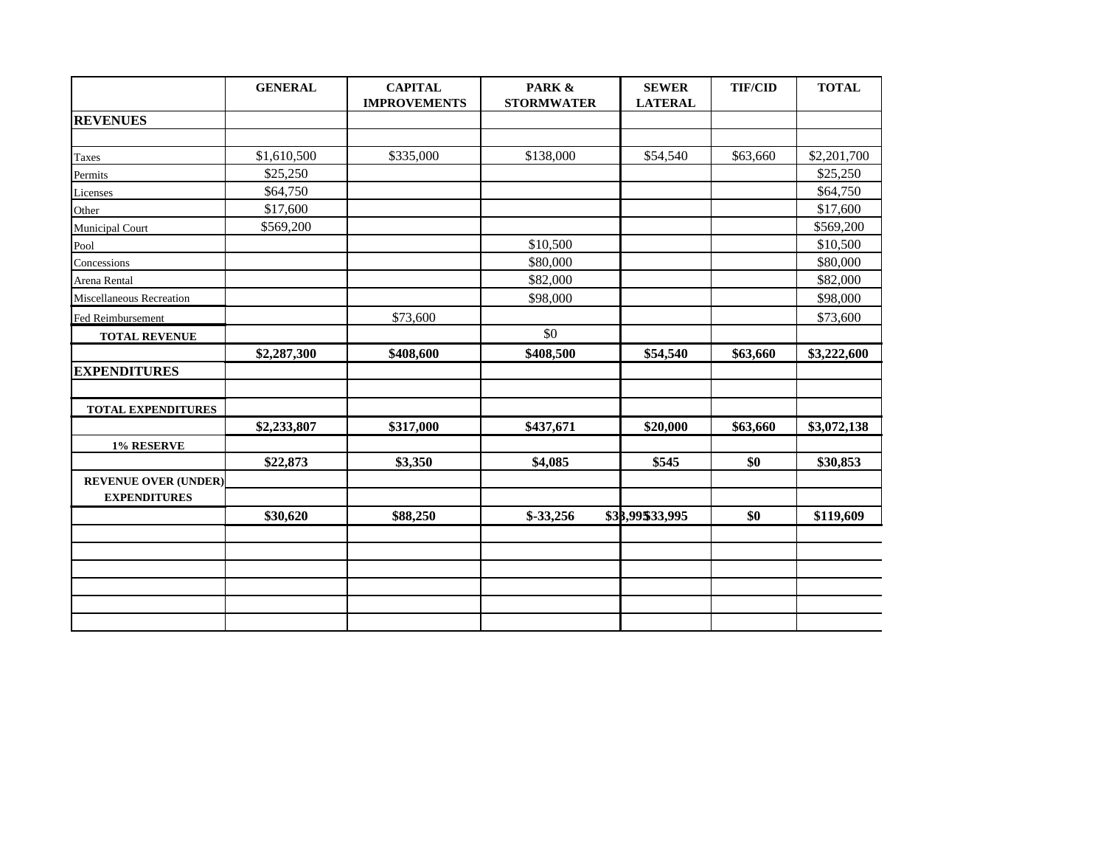|                             | <b>GENERAL</b> | <b>CAPITAL</b><br><b>IMPROVEMENTS</b> | PARK &<br><b>STORMWATER</b> | <b>SEWER</b><br><b>LATERAL</b> | <b>TIF/CID</b> | <b>TOTAL</b> |
|-----------------------------|----------------|---------------------------------------|-----------------------------|--------------------------------|----------------|--------------|
| <b>REVENUES</b>             |                |                                       |                             |                                |                |              |
|                             |                |                                       |                             |                                |                |              |
| Taxes                       | \$1,610,500    | \$335,000                             | \$138,000                   | \$54,540                       | \$63,660       | \$2,201,700  |
| Permits                     | \$25,250       |                                       |                             |                                |                | \$25,250     |
| Licenses                    | \$64,750       |                                       |                             |                                |                | \$64,750     |
| Other                       | \$17,600       |                                       |                             |                                |                | \$17,600     |
| Municipal Court             | \$569,200      |                                       |                             |                                |                | \$569,200    |
| Pool                        |                |                                       | \$10,500                    |                                |                | \$10,500     |
| Concessions                 |                |                                       | \$80,000                    |                                |                | \$80,000     |
| Arena Rental                |                |                                       | \$82,000                    |                                |                | \$82,000     |
| Miscellaneous Recreation    |                |                                       | \$98,000                    |                                |                | \$98,000     |
| Fed Reimbursement           |                | \$73,600                              |                             |                                |                | \$73,600     |
| <b>TOTAL REVENUE</b>        |                |                                       | \$0                         |                                |                |              |
|                             | \$2,287,300    | \$408,600                             | \$408,500                   | \$54,540                       | \$63,660       | \$3,222,600  |
| <b>EXPENDITURES</b>         |                |                                       |                             |                                |                |              |
|                             |                |                                       |                             |                                |                |              |
| TOTAL EXPENDITURES          |                |                                       |                             |                                |                |              |
|                             | \$2,233,807    | \$317,000                             | \$437,671                   | \$20,000                       | \$63,660       | \$3,072,138  |
| 1% RESERVE                  |                |                                       |                             |                                |                |              |
|                             | \$22,873       | \$3,350                               | \$4,085                     | \$545                          | \$0            | \$30,853     |
| <b>REVENUE OVER (UNDER)</b> |                |                                       |                             |                                |                |              |
| <b>EXPENDITURES</b>         |                |                                       |                             |                                |                |              |
|                             | \$30,620       | \$88,250                              | $$-33,256$                  | \$38,99\$33,995                | \$0            | \$119,609    |
|                             |                |                                       |                             |                                |                |              |
|                             |                |                                       |                             |                                |                |              |
|                             |                |                                       |                             |                                |                |              |
|                             |                |                                       |                             |                                |                |              |
|                             |                |                                       |                             |                                |                |              |
|                             |                |                                       |                             |                                |                |              |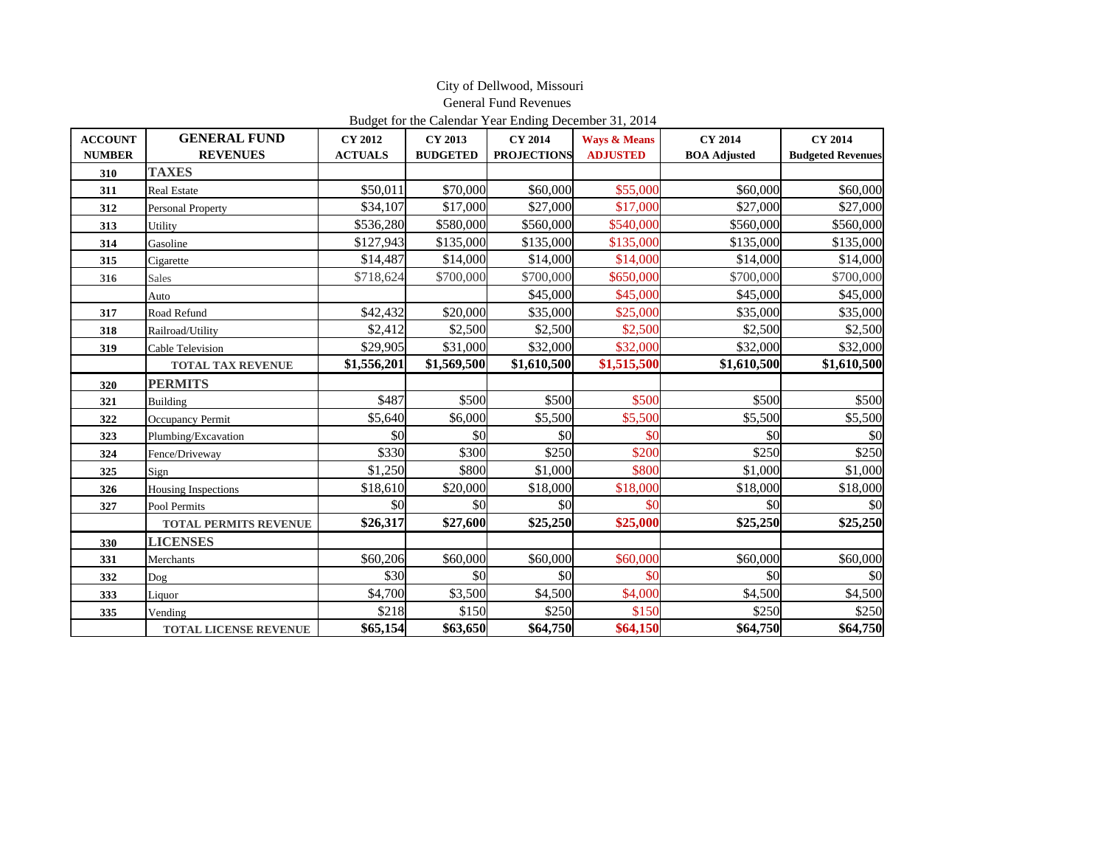|                |                              |                |                 | Budget for the Calendar Year Ending December 31, 2014 |                         |                     |                          |
|----------------|------------------------------|----------------|-----------------|-------------------------------------------------------|-------------------------|---------------------|--------------------------|
| <b>ACCOUNT</b> | <b>GENERAL FUND</b>          | <b>CY 2012</b> | CY 2013         | <b>CY 2014</b>                                        | <b>Ways &amp; Means</b> | <b>CY 2014</b>      | <b>CY 2014</b>           |
| <b>NUMBER</b>  | <b>REVENUES</b>              | <b>ACTUALS</b> | <b>BUDGETED</b> | <b>PROJECTIONS</b>                                    | <b>ADJUSTED</b>         | <b>BOA</b> Adjusted | <b>Budgeted Revenues</b> |
| 310            | <b>TAXES</b>                 |                |                 |                                                       |                         |                     |                          |
| 311            | <b>Real Estate</b>           | \$50,011       | \$70,000        | \$60,000                                              | \$55,000                | \$60,000            | \$60,000                 |
| 312            | <b>Personal Property</b>     | \$34,107       | \$17,000        | \$27,000                                              | \$17,000                | \$27,000            | \$27,000                 |
| 313            | Utility                      | \$536,280      | \$580,000       | \$560,000                                             | \$540,000               | \$560,000           | \$560,000                |
| 314            | Gasoline                     | \$127,943      | \$135,000       | \$135,000                                             | \$135,000               | \$135,000           | \$135,000                |
| 315            | Cigarette                    | \$14,487       | \$14,000        | \$14,000                                              | \$14,000                | \$14,000            | \$14,000                 |
| 316            | <b>Sales</b>                 | \$718,624      | \$700,000       | \$700,000                                             | \$650,000               | \$700,000           | \$700,000                |
|                | Auto                         |                |                 | \$45,000                                              | \$45,000                | \$45,000            | \$45,000                 |
| 317            | Road Refund                  | \$42,432       | \$20,000        | \$35,000                                              | \$25,000                | \$35,000            | \$35,000                 |
| 318            | Railroad/Utility             | \$2,412        | \$2,500         | \$2,500                                               | \$2,500                 | \$2,500             | \$2,500                  |
| 319            | <b>Cable Television</b>      | \$29,905       | \$31,000        | \$32,000                                              | \$32,000                | \$32,000            | \$32,000                 |
|                | <b>TOTAL TAX REVENUE</b>     | \$1,556,201    | \$1,569,500     | \$1,610,500                                           | \$1,515,500             | \$1,610,500         | \$1,610,500              |
| 320            | <b>PERMITS</b>               |                |                 |                                                       |                         |                     |                          |
| 321            | Building                     | \$487          | \$500           | \$500                                                 | \$500                   | \$500               | \$500                    |
| 322            | Occupancy Permit             | \$5,640        | \$6,000         | \$5,500                                               | \$5,500                 | \$5,500             | \$5,500                  |
| 323            | Plumbing/Excavation          | \$0            | \$0             | \$0                                                   | \$0                     | \$0                 | \$0                      |
| 324            | Fence/Driveway               | \$330          | \$300           | \$250                                                 | \$200                   | \$250               | \$250                    |
| 325            | Sign                         | \$1,250        | \$800           | \$1,000                                               | \$800                   | \$1,000             | \$1,000                  |
| 326            | <b>Housing Inspections</b>   | \$18,610       | \$20,000        | \$18,000                                              | \$18,000                | \$18,000            | \$18,000                 |
| 327            | Pool Permits                 | \$0            | \$0             | \$0                                                   | \$0                     | \$0                 | \$0                      |
|                | <b>TOTAL PERMITS REVENUE</b> | \$26,317       | \$27,600        | \$25,250                                              | \$25,000                | \$25,250            | \$25,250                 |
| 330            | <b>LICENSES</b>              |                |                 |                                                       |                         |                     |                          |
| 331            | Merchants                    | \$60,206       | \$60,000        | \$60,000                                              | \$60,000                | \$60,000            | \$60,000                 |
| 332            | Dog                          | \$30           | \$0             | \$0                                                   | \$0                     | \$0                 | \$0                      |
| 333            | Liquor                       | \$4,700        | \$3,500         | \$4,500                                               | \$4,000                 | \$4,500             | \$4,500                  |
| 335            | Vending                      | \$218          | \$150           | \$250                                                 | \$150                   | \$250               | \$250                    |
|                | <b>TOTAL LICENSE REVENUE</b> | \$65,154       | \$63,650        | \$64,750                                              | \$64,150                | \$64,750            | \$64,750                 |

 City of Dellwood, Missouri General Fund Revenues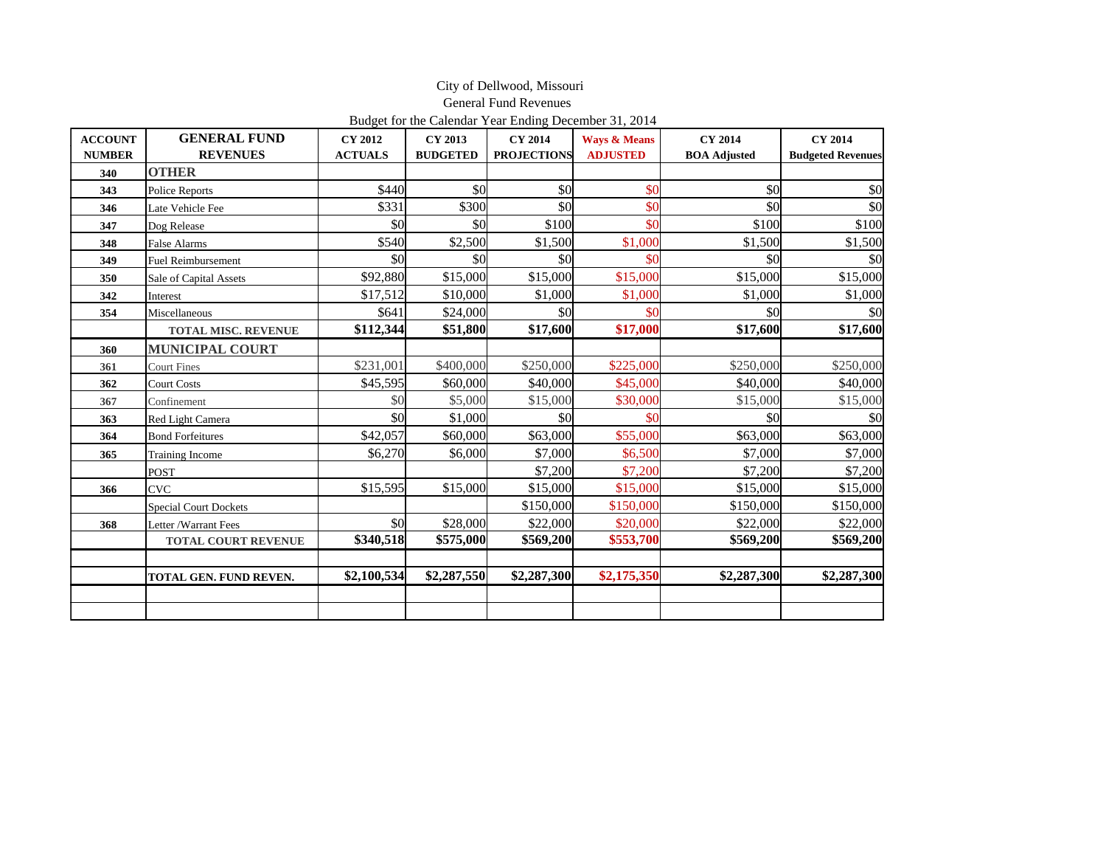|                                 |                                        |                                  |                            | <b>General Fund Revenues</b>                                                                  |                                            |                                       |                                            |
|---------------------------------|----------------------------------------|----------------------------------|----------------------------|-----------------------------------------------------------------------------------------------|--------------------------------------------|---------------------------------------|--------------------------------------------|
| <b>ACCOUNT</b><br><b>NUMBER</b> | <b>GENERAL FUND</b><br><b>REVENUES</b> | <b>CY 2012</b><br><b>ACTUALS</b> | CY 2013<br><b>BUDGETED</b> | Budget for the Calendar Year Ending December 31, 2014<br><b>CY 2014</b><br><b>PROJECTIONS</b> | <b>Ways &amp; Means</b><br><b>ADJUSTED</b> | <b>CY 2014</b><br><b>BOA Adjusted</b> | <b>CY 2014</b><br><b>Budgeted Revenues</b> |
| 340                             | <b>OTHER</b>                           |                                  |                            |                                                                                               |                                            |                                       |                                            |
| 343                             | <b>Police Reports</b>                  | \$440                            | \$0                        | \$0                                                                                           | \$0                                        | \$0                                   | \$0                                        |
| 346                             | Late Vehicle Fee                       | \$331                            | \$300                      | \$0                                                                                           | \$0                                        | \$0                                   | \$0                                        |
| 347                             | Dog Release                            | \$0                              | \$0                        | \$100                                                                                         | \$0                                        | \$100                                 | \$100                                      |
| 348                             | <b>False Alarms</b>                    | \$540                            | \$2,500                    | \$1,500                                                                                       | \$1,000                                    | \$1,500                               | \$1,500                                    |
| 349                             | <b>Fuel Reimbursement</b>              | \$0                              | \$0                        | \$0                                                                                           | \$0                                        | \$0                                   | \$0                                        |
| 350                             | Sale of Capital Assets                 | \$92,880                         | \$15,000                   | \$15,000                                                                                      | \$15,000                                   | \$15,000                              | \$15,000                                   |
| 342                             | Interest                               | \$17,512                         | \$10,000                   | \$1,000                                                                                       | \$1,000                                    | \$1,000                               | \$1,000                                    |
| 354                             | Miscellaneous                          | \$641                            | \$24,000                   | \$O                                                                                           | \$0                                        | \$0                                   | \$0                                        |
|                                 | <b>TOTAL MISC. REVENUE</b>             | \$112,344                        | \$51,800                   | \$17,600                                                                                      | \$17,000                                   | \$17,600                              | \$17,600                                   |
| 360                             | <b>MUNICIPAL COURT</b>                 |                                  |                            |                                                                                               |                                            |                                       |                                            |
| 361                             | <b>Court Fines</b>                     | \$231,001                        | \$400,000                  | \$250,000                                                                                     | \$225,000                                  | \$250,000                             | \$250,000                                  |
| 362                             | <b>Court Costs</b>                     | \$45,595                         | \$60,000                   | \$40,000                                                                                      | \$45,000                                   | \$40,000                              | \$40,000                                   |
| 367                             | Confinement                            | \$0                              | \$5,000                    | \$15,000                                                                                      | \$30,000                                   | \$15,000                              | \$15,000                                   |
| 363                             | Red Light Camera                       | \$0                              | \$1,000                    | <b>\$0</b>                                                                                    | \$0                                        | \$0                                   | \$0                                        |
| 364                             | <b>Bond Forfeitures</b>                | \$42,057                         | \$60,000                   | \$63,000                                                                                      | \$55,000                                   | \$63,000                              | \$63,000                                   |
| 365                             | Training Income                        | \$6,270                          | \$6,000                    | \$7,000                                                                                       | \$6,500                                    | \$7,000                               | \$7,000                                    |
|                                 | POST                                   |                                  |                            | \$7,200                                                                                       | \$7,200                                    | \$7,200                               | \$7,200                                    |
| 366                             | <b>CVC</b>                             | \$15,595                         | \$15,000                   | \$15,000                                                                                      | \$15,000                                   | \$15,000                              | \$15,000                                   |
|                                 | <b>Special Court Dockets</b>           |                                  |                            | \$150,000                                                                                     | \$150,000                                  | \$150,000                             | \$150,000                                  |
| 368                             | Letter /Warrant Fees                   | \$0                              | \$28,000                   | \$22,000                                                                                      | \$20,000                                   | \$22,000                              | \$22,000                                   |
|                                 | <b>TOTAL COURT REVENUE</b>             | \$340,518                        | \$575,000                  | \$569,200                                                                                     | \$553,700                                  | \$569,200                             | \$569,200                                  |
|                                 | TOTAL GEN. FUND REVEN.                 | \$2,100,534                      | \$2,287,550                | \$2,287,300                                                                                   | \$2,175,350                                | \$2,287,300                           | \$2,287,300                                |
|                                 |                                        |                                  |                            |                                                                                               |                                            |                                       |                                            |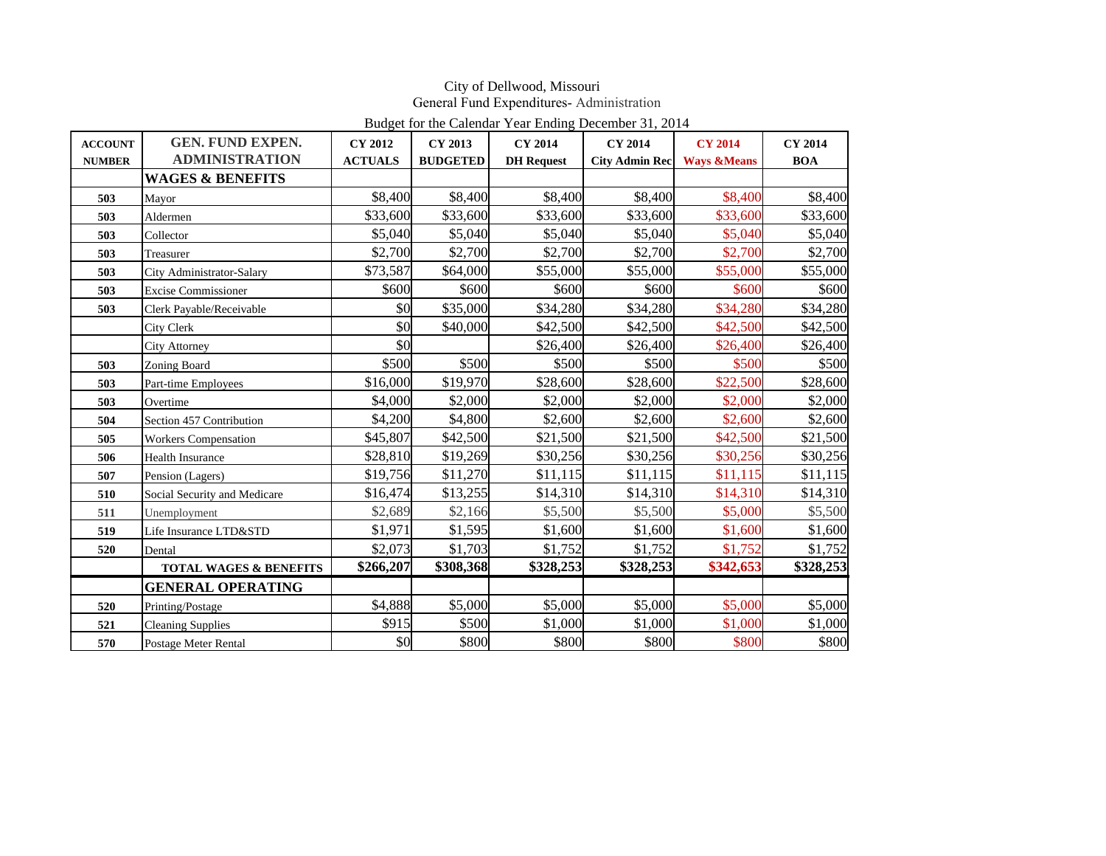|                |                                   |                |                 | Budget for the Calendar Year Ending December 31, 2014 |                       |                        |                |
|----------------|-----------------------------------|----------------|-----------------|-------------------------------------------------------|-----------------------|------------------------|----------------|
| <b>ACCOUNT</b> | <b>GEN. FUND EXPEN.</b>           | <b>CY 2012</b> | CY 2013         | <b>CY 2014</b>                                        | <b>CY 2014</b>        | <b>CY 2014</b>         | <b>CY 2014</b> |
| <b>NUMBER</b>  | <b>ADMINISTRATION</b>             | <b>ACTUALS</b> | <b>BUDGETED</b> | <b>DH</b> Request                                     | <b>City Admin Rec</b> | <b>Ways &amp;Means</b> | <b>BOA</b>     |
|                | <b>WAGES &amp; BENEFITS</b>       |                |                 |                                                       |                       |                        |                |
| 503            | Mayor                             | \$8,400        | \$8,400         | \$8,400                                               | \$8,400               | \$8,400                | \$8,400        |
| 503            | Aldermen                          | \$33,600       | \$33,600        | \$33,600                                              | \$33,600              | \$33,600               | \$33,600       |
| 503            | Collector                         | \$5,040        | \$5,040         | \$5,040                                               | \$5,040               | \$5,040                | \$5,040        |
| 503            | Treasurer                         | \$2,700        | \$2,700         | \$2,700                                               | \$2,700               | \$2,700                | \$2,700        |
| 503            | City Administrator-Salary         | \$73,587       | \$64,000        | \$55,000                                              | \$55,000              | \$55,000               | \$55,000       |
| 503            | <b>Excise Commissioner</b>        | \$600          | \$600           | \$600                                                 | \$600                 | \$600                  | \$600          |
| 503            | Clerk Payable/Receivable          | \$0            | \$35,000        | \$34,280                                              | \$34,280              | \$34,280               | \$34,280       |
|                | City Clerk                        | \$0            | \$40,000        | \$42,500                                              | \$42,500              | \$42,500               | \$42,500       |
|                | <b>City Attorney</b>              | \$0            |                 | \$26,400                                              | \$26,400              | \$26,400               | \$26,400       |
| 503            | Zoning Board                      | \$500          | \$500           | \$500                                                 | \$500                 | \$500                  | \$500          |
| 503            | Part-time Employees               | \$16,000       | \$19,970        | \$28,600                                              | \$28,600              | \$22,500               | \$28,600       |
| 503            | Overtime                          | \$4,000        | \$2,000         | \$2,000                                               | \$2,000               | \$2,000                | \$2,000        |
| 504            | Section 457 Contribution          | \$4,200        | \$4,800         | \$2,600                                               | \$2,600               | \$2,600                | \$2,600        |
| 505            | <b>Workers Compensation</b>       | \$45,807       | \$42,500        | \$21,500                                              | \$21,500              | \$42,500               | \$21,500       |
| 506            | <b>Health Insurance</b>           | \$28,810       | \$19,269        | \$30,256                                              | \$30,256              | \$30,256               | \$30,256       |
| 507            | Pension (Lagers)                  | \$19,756       | \$11,270        | \$11,115                                              | \$11,115              | \$11,115               | \$11,115       |
| 510            | Social Security and Medicare      | \$16,474       | \$13,255        | \$14,310                                              | \$14,310              | \$14,310               | \$14,310       |
| 511            | Unemployment                      | \$2,689        | \$2,166         | \$5,500                                               | \$5,500               | \$5,000                | \$5,500        |
| 519            | Life Insurance LTD&STD            | \$1,971        | \$1,595         | \$1,600                                               | \$1,600               | \$1,600                | \$1,600        |
| 520            | Dental                            | \$2,073        | \$1,703         | \$1,752                                               | \$1,752               | \$1,752                | \$1,752        |
|                | <b>TOTAL WAGES &amp; BENEFITS</b> | \$266,207      | \$308,368       | \$328,253                                             | \$328,253             | \$342,653              | \$328,253      |
|                | <b>GENERAL OPERATING</b>          |                |                 |                                                       |                       |                        |                |
| 520            | Printing/Postage                  | \$4,888        | \$5,000         | \$5,000                                               | \$5,000               | \$5,000                | \$5,000        |
| 521            | <b>Cleaning Supplies</b>          | \$915          | \$500           | \$1,000                                               | \$1,000               | \$1,000                | \$1,000        |
| 570            | Postage Meter Rental              | \$0            | \$800           | \$800                                                 | \$800                 | \$800                  | \$800          |

#### City of Dellwood, Missouri General Fund Expenditures- Administration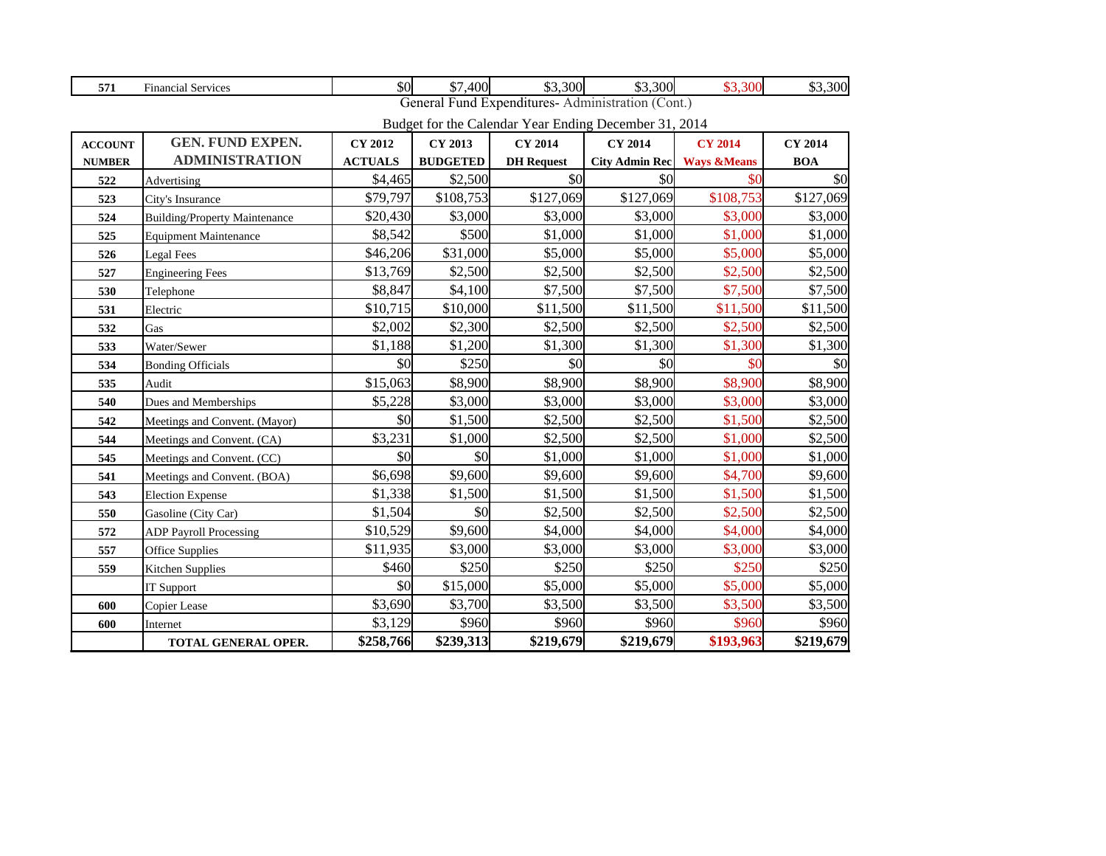| 571            | <b>Financial Services</b>            | \$0            | \$7,400         | \$3,300                                               | \$3,300                     | \$3,300        | \$3,300        |
|----------------|--------------------------------------|----------------|-----------------|-------------------------------------------------------|-----------------------------|----------------|----------------|
|                |                                      |                |                 | General Fund Expenditures-Administration (Cont.)      |                             |                |                |
|                |                                      |                |                 | Budget for the Calendar Year Ending December 31, 2014 |                             |                |                |
| <b>ACCOUNT</b> | <b>GEN. FUND EXPEN.</b>              | <b>CY 2012</b> | <b>CY 2013</b>  | <b>CY 2014</b>                                        | <b>CY 2014</b>              | <b>CY 2014</b> | <b>CY 2014</b> |
| <b>NUMBER</b>  | <b>ADMINISTRATION</b>                | <b>ACTUALS</b> | <b>BUDGETED</b> | <b>DH</b> Request                                     | City Admin Rec Ways & Means |                | <b>BOA</b>     |
| 522            | Advertising                          | \$4,465        | \$2,500         | \$0                                                   | \$0                         | \$0            | $\frac{1}{2}$  |
| 523            | City's Insurance                     | \$79,797       | \$108,753       | \$127,069                                             | \$127,069                   | \$108,753      | \$127,069      |
| 524            | <b>Building/Property Maintenance</b> | \$20,430       | \$3,000         | \$3,000                                               | \$3,000                     | \$3,000        | \$3,000        |
| 525            | <b>Equipment Maintenance</b>         | \$8,542        | \$500           | \$1,000                                               | \$1,000                     | \$1,000        | \$1,000        |
| 526            | <b>Legal Fees</b>                    | \$46,206       | \$31,000        | \$5,000                                               | \$5,000                     | \$5,000        | \$5,000        |
| 527            | <b>Engineering Fees</b>              | \$13,769       | \$2,500         | \$2,500                                               | \$2,500                     | \$2,500        | \$2,500        |
| 530            | Telephone                            | \$8,847        | \$4,100         | \$7,500                                               | \$7,500                     | \$7,500        | \$7,500        |
| 531            | Electric                             | \$10,715       | \$10,000        | \$11,500                                              | \$11,500                    | \$11,500       | \$11,500       |
| 532            | Gas                                  | \$2,002        | \$2,300         | \$2,500                                               | \$2,500                     | \$2,500        | \$2,500        |
| 533            | Water/Sewer                          | \$1,188        | \$1,200         | \$1,300                                               | \$1,300                     | \$1,300        | \$1,300        |
| 534            | <b>Bonding Officials</b>             | \$0            | \$250           | \$0                                                   | \$0                         | \$0            | \$0            |
| 535            | Audit                                | \$15,063       | \$8,900         | \$8,900                                               | \$8,900                     | \$8,900        | \$8,900        |
| 540            | Dues and Memberships                 | \$5,228        | \$3,000         | \$3,000                                               | \$3,000                     | \$3,000        | \$3,000        |
| 542            | Meetings and Convent. (Mayor)        | \$0            | \$1,500         | \$2,500                                               | \$2,500                     | \$1,500        | \$2,500        |
| 544            | Meetings and Convent. (CA)           | \$3,231        | \$1,000         | \$2,500                                               | \$2,500                     | \$1,000        | \$2,500        |
| 545            | Meetings and Convent. (CC)           | \$0            | \$0             | \$1,000                                               | \$1,000                     | \$1,000        | \$1,000        |
| 541            | Meetings and Convent. (BOA)          | \$6,698        | \$9,600         | \$9,600                                               | \$9,600                     | \$4,700        | \$9,600        |
| 543            | <b>Election Expense</b>              | \$1,338        | \$1,500         | \$1,500                                               | \$1,500                     | \$1,500        | \$1,500        |
| 550            | Gasoline (City Car)                  | \$1,504        | \$0             | \$2,500                                               | \$2,500                     | \$2,500        | \$2,500        |
| 572            | <b>ADP Payroll Processing</b>        | \$10,529       | \$9,600         | \$4,000                                               | \$4,000                     | \$4,000        | \$4,000        |
| 557            | <b>Office Supplies</b>               | \$11,935       | \$3,000         | \$3,000                                               | \$3,000                     | \$3,000        | \$3,000        |
| 559            | <b>Kitchen Supplies</b>              | \$460          | \$250           | \$250                                                 | \$250                       | \$250          | \$250          |
|                | <b>IT Support</b>                    | \$0            | \$15,000        | \$5,000                                               | \$5,000                     | \$5,000        | \$5,000        |
| 600            | Copier Lease                         | \$3,690        | \$3,700         | \$3,500                                               | \$3,500                     | \$3,500        | \$3,500        |
| 600            | Internet                             | \$3,129        | \$960           | \$960                                                 | \$960                       | \$960          | \$960          |
|                | <b>TOTAL GENERAL OPER.</b>           | \$258,766      | \$239,313       | \$219,679                                             | \$219,679                   | \$193,963      | \$219,679      |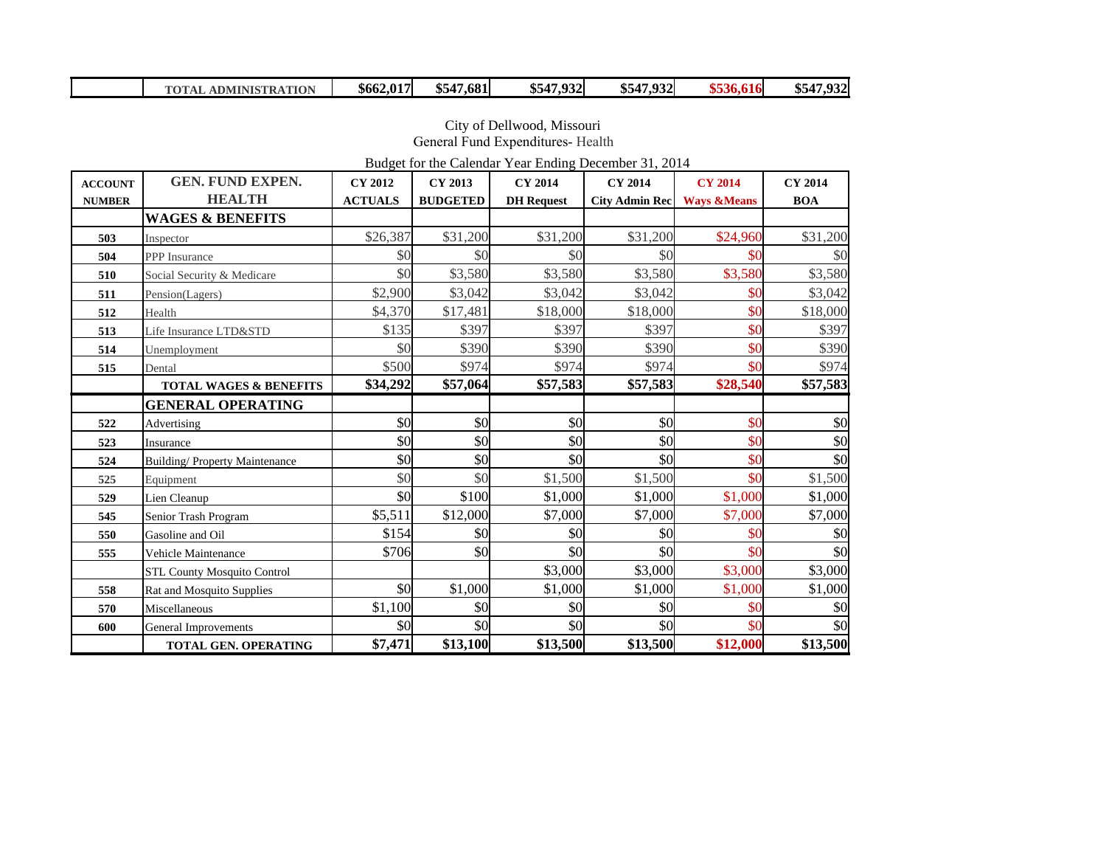|  | <b>TOTAL ADMINISTRATION</b> | \$662,017 | \$547,681 | \$547,932 | \$547,932 | \$536.616 | \$547,932 |
|--|-----------------------------|-----------|-----------|-----------|-----------|-----------|-----------|
|--|-----------------------------|-----------|-----------|-----------|-----------|-----------|-----------|

 City of Dellwood, Missouri General Fund Expenditures- Health

Budget for the Calendar Year Ending December 31, 2014

| <b>ACCOUNT</b> | <b>GEN. FUND EXPEN.</b>              | <b>CY 2012</b> | <b>CY 2013</b>  | <b>CY 2014</b>    | <b>CY 2014</b>        | <b>CY 2014</b>         | <b>CY 2014</b> |
|----------------|--------------------------------------|----------------|-----------------|-------------------|-----------------------|------------------------|----------------|
| <b>NUMBER</b>  | <b>HEALTH</b>                        | <b>ACTUALS</b> | <b>BUDGETED</b> | <b>DH</b> Request | <b>City Admin Rec</b> | <b>Ways &amp;Means</b> | <b>BOA</b>     |
|                | <b>WAGES &amp; BENEFITS</b>          |                |                 |                   |                       |                        |                |
| 503            | Inspector                            | \$26,387       | \$31,200        | \$31,200          | \$31,200              | \$24,960               | \$31,200       |
| 504            | <b>PPP</b> Insurance                 | \$0            | \$0             | \$0               | \$0                   | \$0                    | \$0            |
| 510            | Social Security & Medicare           | \$0            | \$3,580         | \$3,580           | \$3,580               | \$3,580                | \$3,580        |
| 511            | Pension(Lagers)                      | \$2,900        | \$3,042         | \$3,042           | \$3,042               | \$0                    | \$3,042        |
| 512            | Health                               | \$4,370        | \$17,481        | \$18,000          | \$18,000              | \$0                    | \$18,000       |
| 513            | Life Insurance LTD&STD               | \$135          | \$397           | \$397             | \$397                 | \$0                    | \$397          |
| 514            | Unemployment                         | \$0            | \$390           | \$390             | \$390                 | \$0                    | \$390          |
| 515            | Dental                               | \$500          | \$974           | \$974             | \$974                 | \$0                    | \$974          |
|                | <b>TOTAL WAGES &amp; BENEFITS</b>    | \$34,292       | \$57,064        | \$57,583          | \$57,583              | \$28,540               | \$57,583       |
|                | <b>GENERAL OPERATING</b>             |                |                 |                   |                       |                        |                |
| 522            | Advertising                          | \$0            | \$0             | \$0               | \$0                   | \$0                    | \$0            |
| 523            | Insurance                            | \$0            | \$0             | \$0               | \$0                   | \$0                    | \$0            |
| 524            | <b>Building/Property Maintenance</b> | \$0            | \$0             | \$0               | \$0                   | \$0                    | \$0            |
| 525            | Equipment                            | \$0            | \$0             | \$1,500           | \$1,500               | \$0                    | \$1,500        |
| 529            | Lien Cleanup                         | \$0            | \$100           | \$1,000           | \$1,000               | \$1,000                | \$1,000        |
| 545            | Senior Trash Program                 | \$5,511        | \$12,000        | \$7,000           | \$7,000               | \$7,000                | \$7,000        |
| 550            | Gasoline and Oil                     | \$154          | \$0             | \$0               | \$0                   | \$0                    | \$0            |
| 555            | Vehicle Maintenance                  | \$706          | \$0             | \$0               | \$0                   | \$0                    | \$0            |
|                | <b>STL County Mosquito Control</b>   |                |                 | \$3,000           | \$3,000               | \$3,000                | \$3,000        |
| 558            | Rat and Mosquito Supplies            | \$0            | \$1,000         | \$1,000           | \$1,000               | \$1,000                | \$1,000        |
| 570            | Miscellaneous                        | \$1,100        | \$0             | \$0               | \$0                   | \$0                    | \$0            |
| 600            | General Improvements                 | \$0            | \$0             | \$0               | \$0                   | \$0                    | \$0            |
|                | <b>TOTAL GEN. OPERATING</b>          | \$7,471        | \$13,100        | \$13,500          | \$13,500              | \$12,000               | \$13,500       |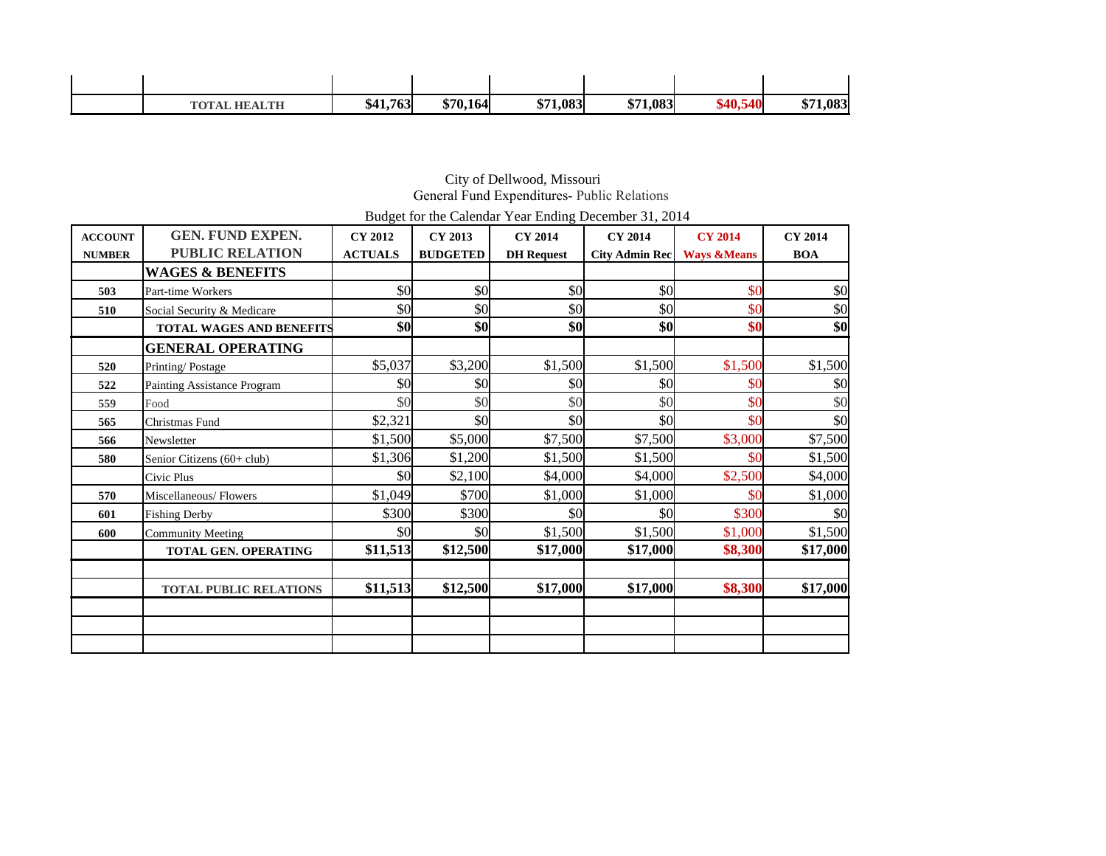| <b>TOTAL HEALTH</b> | \$41,763 | \$70,164 | \$71,083 | \$71,083 | 540<br>\$40,1 | 1,083<br>ФП1.<br>ו ה |
|---------------------|----------|----------|----------|----------|---------------|----------------------|

#### City of Dellwood, Missouri General Fund Expenditures- Public Relations

Budget for the Calendar Year Ending December 31, 2014

| <b>ACCOUNT</b> | <b>GEN. FUND EXPEN.</b>         | <b>CY 2012</b> | CY 2013         | <b>CY 2014</b>    | <b>CY 2014</b>        | <b>CY 2014</b>         | <b>CY 2014</b> |
|----------------|---------------------------------|----------------|-----------------|-------------------|-----------------------|------------------------|----------------|
| <b>NUMBER</b>  | <b>PUBLIC RELATION</b>          | <b>ACTUALS</b> | <b>BUDGETED</b> | <b>DH</b> Request | <b>City Admin Rec</b> | <b>Ways &amp;Means</b> | <b>BOA</b>     |
|                | <b>WAGES &amp; BENEFITS</b>     |                |                 |                   |                       |                        |                |
| 503            | Part-time Workers               | \$0            | \$0             | \$0               | \$0                   | \$0                    | \$0            |
| 510            | Social Security & Medicare      | \$0            | \$0             | \$0               | \$0                   | \$0                    | \$0            |
|                | <b>TOTAL WAGES AND BENEFITS</b> | \$0            | \$0             | \$0               | \$0                   | \$0                    | \$0            |
|                | <b>GENERAL OPERATING</b>        |                |                 |                   |                       |                        |                |
| 520            | Printing/Postage                | \$5,037        | \$3,200         | \$1,500           | \$1,500               | \$1,500                | \$1,500        |
| 522            | Painting Assistance Program     | \$0            | \$0             | \$0               | \$0                   | \$0                    | \$0            |
| 559            | Food                            | \$0            | \$0             | \$0               | \$0                   | \$0                    | \$0            |
| 565            | Christmas Fund                  | \$2,321        | \$0             | \$0               | \$0                   | \$0                    | \$0            |
| 566            | Newsletter                      | \$1,500        | \$5,000         | \$7,500           | \$7,500               | \$3,000                | \$7,500        |
| 580            | Senior Citizens (60+ club)      | \$1,306        | \$1,200         | \$1,500           | \$1,500               | \$0                    | \$1,500        |
|                | Civic Plus                      | \$0            | \$2,100         | \$4,000           | \$4,000               | \$2,500                | \$4,000        |
| 570            | Miscellaneous/Flowers           | \$1,049        | \$700           | \$1,000           | \$1,000               | \$0                    | \$1,000        |
| 601            | <b>Fishing Derby</b>            | \$300          | \$300           | \$0               | \$0                   | \$300                  | \$0            |
| 600            | <b>Community Meeting</b>        | \$0            | \$0             | \$1,500           | \$1,500               | \$1,000                | \$1,500        |
|                | <b>TOTAL GEN. OPERATING</b>     | \$11,513       | \$12,500        | \$17,000          | \$17,000              | \$8,300                | \$17,000       |
|                |                                 |                |                 |                   |                       |                        |                |
|                | TOTAL PUBLIC RELATIONS          | \$11,513       | \$12,500        | \$17,000          | \$17,000              | \$8,300                | \$17,000       |
|                |                                 |                |                 |                   |                       |                        |                |
|                |                                 |                |                 |                   |                       |                        |                |
|                |                                 |                |                 |                   |                       |                        |                |
|                |                                 |                |                 |                   |                       |                        |                |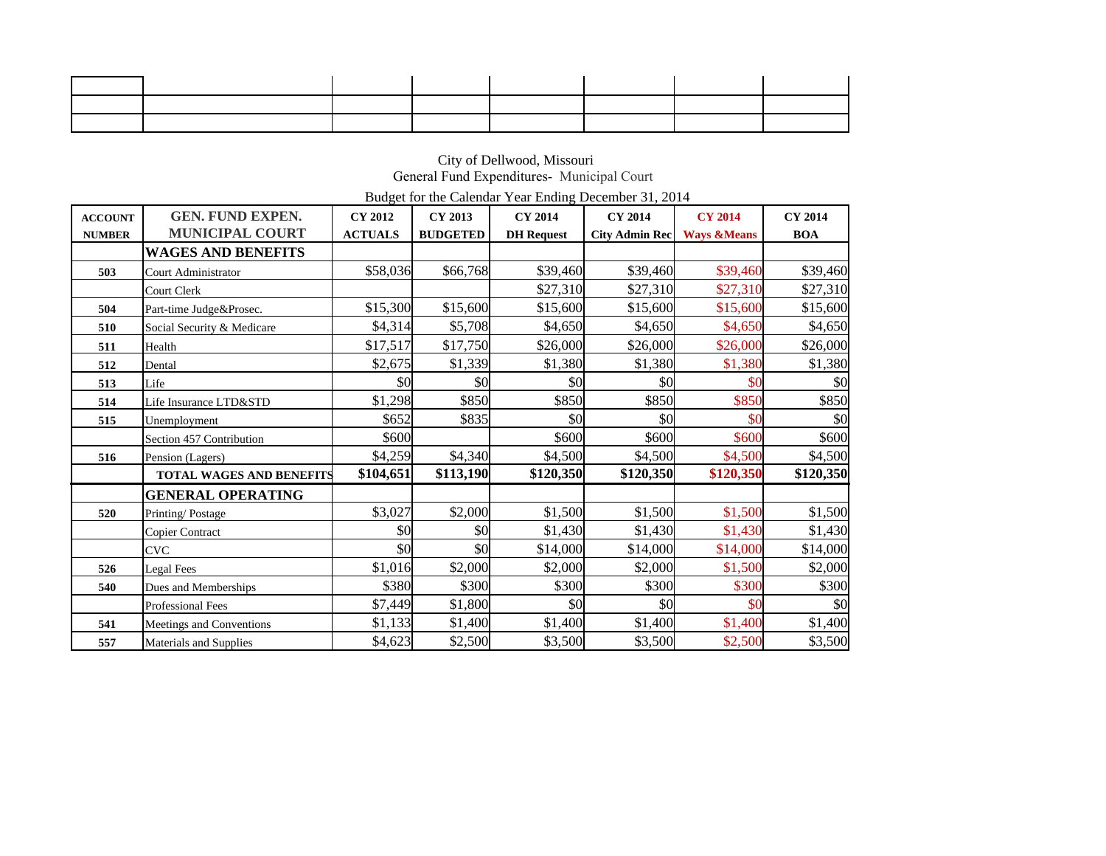#### City of Dellwood, Missouri General Fund Expenditures- Municipal Court

Budget for the Calendar Year Ending December 31, 2014

| <b>ACCOUNT</b> | <b>GEN. FUND EXPEN.</b>         | <b>CY 2012</b> | <b>CY 2013</b>  | <b>CY 2014</b>    | <b>CY 2014</b>        | <b>CY 2014</b>         | <b>CY 2014</b> |
|----------------|---------------------------------|----------------|-----------------|-------------------|-----------------------|------------------------|----------------|
| <b>NUMBER</b>  | <b>MUNICIPAL COURT</b>          | <b>ACTUALS</b> | <b>BUDGETED</b> | <b>DH</b> Request | <b>City Admin Rec</b> | <b>Ways &amp;Means</b> | <b>BOA</b>     |
|                | <b>WAGES AND BENEFITS</b>       |                |                 |                   |                       |                        |                |
| 503            | <b>Court Administrator</b>      | \$58,036       | \$66,768        | \$39,460          | \$39,460              | \$39,460               | \$39,460       |
|                | Court Clerk                     |                |                 | \$27,310          | \$27,310              | \$27,310               | \$27,310       |
| 504            | Part-time Judge&Prosec.         | \$15,300       | \$15,600        | \$15,600          | \$15,600              | \$15,600               | \$15,600       |
| 510            | Social Security & Medicare      | \$4,314        | \$5,708         | \$4,650           | \$4,650               | \$4,650                | \$4,650        |
| 511            | Health                          | \$17,517       | \$17,750        | \$26,000          | \$26,000              | \$26,000               | \$26,000       |
| 512            | Dental                          | \$2,675        | \$1,339         | \$1,380           | \$1,380               | \$1,380                | \$1,380        |
| 513            | Life                            | \$0            | \$0             | \$0               | \$0                   | \$0                    | \$0            |
| 514            | Life Insurance LTD&STD          | \$1,298        | \$850           | \$850             | \$850                 | \$850                  | \$850          |
| 515            | Unemployment                    | \$652          | \$835           | \$0               | \$0                   | \$0                    | \$0            |
|                | Section 457 Contribution        | \$600          |                 | \$600             | \$600                 | \$600                  | \$600          |
| 516            | Pension (Lagers)                | \$4,259        | \$4,340         | \$4,500           | \$4,500               | \$4,500                | \$4,500        |
|                | <b>TOTAL WAGES AND BENEFITS</b> | \$104,651      | \$113,190       | \$120,350         | \$120,350             | \$120,350              | \$120,350      |
|                | <b>GENERAL OPERATING</b>        |                |                 |                   |                       |                        |                |
| 520            | Printing/Postage                | \$3,027        | \$2,000         | \$1,500           | \$1,500               | \$1,500                | \$1,500        |
|                | <b>Copier Contract</b>          | \$0            | \$0             | \$1,430           | \$1,430               | \$1,430                | \$1,430        |
|                | <b>CVC</b>                      | \$0            | \$0             | \$14,000          | \$14,000              | \$14,000               | \$14,000       |
| 526            | Legal Fees                      | \$1,016        | \$2,000         | \$2,000           | \$2,000               | \$1,500                | \$2,000        |
| 540            | Dues and Memberships            | \$380          | \$300           | \$300             | \$300                 | \$300                  | \$300          |
|                | <b>Professional Fees</b>        | \$7,449        | \$1,800         | \$0               | \$0                   | \$0                    | \$0            |
| 541            | Meetings and Conventions        | \$1,133        | \$1,400         | \$1,400           | \$1,400               | \$1,400                | \$1,400        |
| 557            | <b>Materials and Supplies</b>   | \$4,623        | \$2,500         | \$3,500           | \$3,500               | \$2,500                | \$3,500        |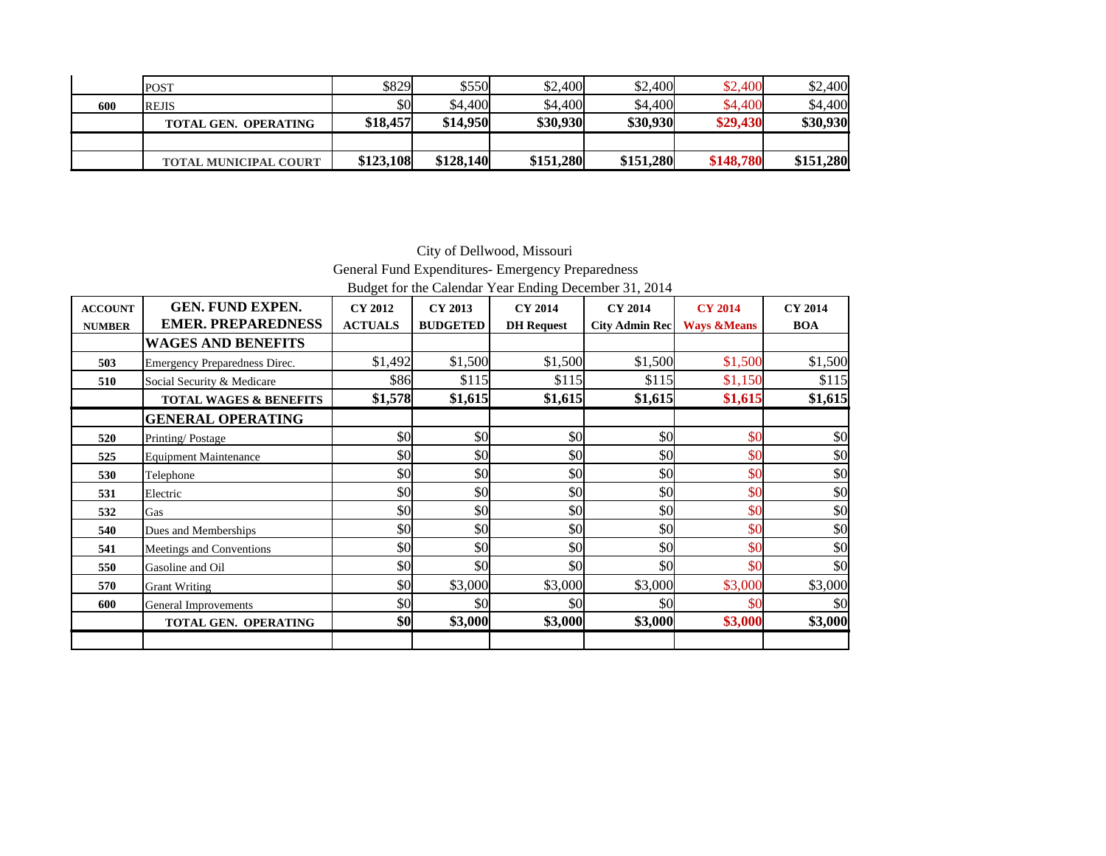|     | <b>POST</b>                  | \$829     | \$550     | \$2,400   | \$2,400   | \$2,400   | \$2,400   |
|-----|------------------------------|-----------|-----------|-----------|-----------|-----------|-----------|
| 600 | <b>REJIS</b>                 | \$0       | \$4,400   | \$4,400   | \$4,400   | \$4,400   | \$4,400   |
|     | <b>TOTAL GEN. OPERATING</b>  | \$18,457  | \$14,950  | \$30,930  | \$30,930  | \$29,430  | \$30,930  |
|     |                              |           |           |           |           |           |           |
|     | <b>TOTAL MUNICIPAL COURT</b> | \$123,108 | \$128,140 | \$151,280 | \$151,280 | \$148,780 | \$151,280 |

 City of Dellwood, Missouri General Fund Expenditures- Emergency Preparedness Budget for the Calendar Year Ending December 31, 2014

| <b>ACCOUNT</b> | GEN. FUND EXPEN.                  | <b>CY 2012</b> | CY 2013         | <b>CY 2014</b>    | <b>CY 2014</b>        | <b>CY 2014</b>         | <b>CY 2014</b>          |
|----------------|-----------------------------------|----------------|-----------------|-------------------|-----------------------|------------------------|-------------------------|
| <b>NUMBER</b>  | <b>EMER. PREPAREDNESS</b>         | <b>ACTUALS</b> | <b>BUDGETED</b> | <b>DH</b> Request | <b>City Admin Rec</b> | <b>Ways &amp;Means</b> | <b>BOA</b>              |
|                | <b>WAGES AND BENEFITS</b>         |                |                 |                   |                       |                        |                         |
| 503            | Emergency Preparedness Direc.     | \$1,492        | \$1,500         | \$1,500           | \$1,500               | \$1,500                | \$1,500                 |
| 510            | Social Security & Medicare        | \$86l          | \$115           | \$115             | \$115                 | \$1,150                | \$115                   |
|                | <b>TOTAL WAGES &amp; BENEFITS</b> | \$1,578        | \$1,615         | \$1,615           | \$1,615               | \$1,615                | \$1,615                 |
|                | <b>GENERAL OPERATING</b>          |                |                 |                   |                       |                        |                         |
| 520            | Printing/Postage                  | \$0            | \$0             | \$0               | \$0                   | \$0                    | $\vert \$\text{O}\vert$ |
| 525            | <b>Equipment Maintenance</b>      | \$0            | \$0             | \$0               | \$0                   | \$0                    | \$0                     |
| 530            | Telephone                         | \$0            | \$0             | \$0               | \$0                   | \$0                    | $\vert \$\text{O}\vert$ |
| 531            | Electric                          | \$0            | \$0             | \$0               | \$0                   | \$0                    | $\vert \$\text{O}\vert$ |
| 532            | Gas                               | \$0            | \$0             | \$0               | \$0                   | \$0                    | $\vert \$\text{O}\vert$ |
| 540            | Dues and Memberships              | \$0            | \$0             | \$0               | \$0                   | \$0                    | $\vert \$\text{O}\vert$ |
| 541            | Meetings and Conventions          | \$0            | \$0             | \$0               | \$0                   | \$0                    | \$0                     |
| 550            | Gasoline and Oil                  | \$0            | \$0             | \$0               | \$0                   | \$0                    | \$0                     |
| 570            | <b>Grant Writing</b>              | \$0            | \$3,000         | \$3,000           | \$3,000               | \$3,000                | \$3,000                 |
| 600            | General Improvements              | \$0            | \$0             | \$0               | \$0l                  | \$0                    | \$0                     |
|                | TOTAL GEN. OPERATING              | \$0            | \$3,000         | \$3,000           | \$3,000               | \$3,000                | \$3,000                 |
|                |                                   |                |                 |                   |                       |                        |                         |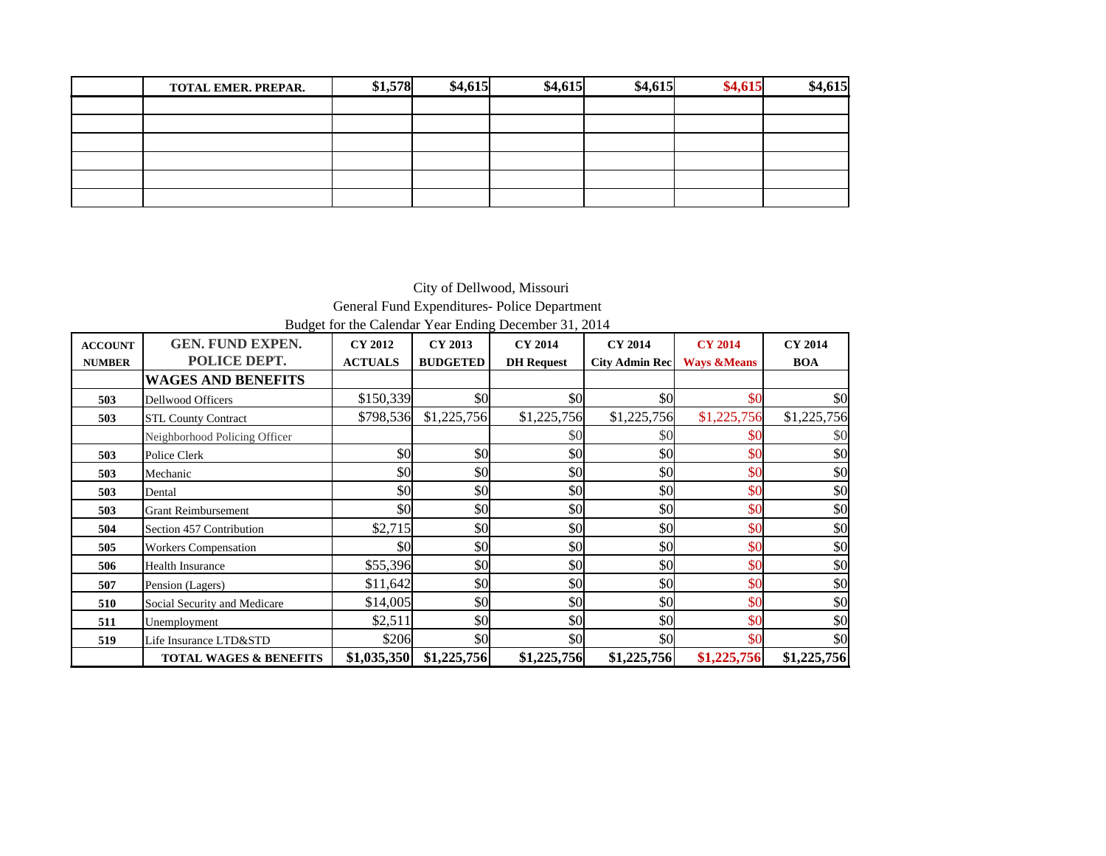| <b>TOTAL EMER, PREPAR.</b> | \$1,578 | \$4,615 | \$4,615 | \$4,615 | \$4,615 | \$4,615 |
|----------------------------|---------|---------|---------|---------|---------|---------|
|                            |         |         |         |         |         |         |
|                            |         |         |         |         |         |         |
|                            |         |         |         |         |         |         |
|                            |         |         |         |         |         |         |
|                            |         |         |         |         |         |         |
|                            |         |         |         |         |         |         |

City of Dellwood, Missouri General Fund Expenditures- Police Department Budget for the Calendar Year Ending December 31, 2014

| <b>ACCOUNT</b> | <b>GEN. FUND EXPEN.</b>           | <b>CY 2012</b> | CY 2013         | <b>CY 2014</b>    | <b>CY 2014</b>        | <b>CY 2014</b>         | <b>CY 2014</b> |
|----------------|-----------------------------------|----------------|-----------------|-------------------|-----------------------|------------------------|----------------|
| <b>NUMBER</b>  | POLICE DEPT.                      | <b>ACTUALS</b> | <b>BUDGETED</b> | <b>DH</b> Request | <b>City Admin Rec</b> | <b>Ways &amp;Means</b> | <b>BOA</b>     |
|                | <b>WAGES AND BENEFITS</b>         |                |                 |                   |                       |                        |                |
| 503            | <b>Dellwood Officers</b>          | \$150,339      | \$0             | \$0               | \$0                   | \$0                    | \$0            |
| 503            | <b>STL County Contract</b>        | \$798,536      | \$1,225,756     | \$1,225,756       | \$1,225,756           | \$1,225,756            | \$1,225,756    |
|                | Neighborhood Policing Officer     |                |                 | \$0               | \$0                   | \$0                    | \$0            |
| 503            | Police Clerk                      | \$0            | \$0             | \$0               | \$0                   | \$0                    | \$0            |
| 503            | Mechanic                          | \$0            | \$0             | \$0               | \$0                   | \$0                    | \$0            |
| 503            | Dental                            | \$0            | \$0             | \$0               | \$0                   | \$0                    | \$0            |
| 503            | <b>Grant Reimbursement</b>        | \$0            | \$0             | \$0               | \$0                   | \$0                    | \$0            |
| 504            | Section 457 Contribution          | \$2,715        | \$0             | \$0               | \$0                   | \$0                    | \$0            |
| 505            | <b>Workers Compensation</b>       | \$0            | \$0             | \$0               | \$0                   | \$0                    | \$0            |
| 506            | Health Insurance                  | \$55,396       | \$0             | \$0               | \$0                   | \$0                    | \$0            |
| 507            | Pension (Lagers)                  | \$11,642       | \$0             | \$0               | \$0                   | \$0                    | \$0            |
| 510            | Social Security and Medicare      | \$14,005       | \$0             | \$0               | \$0                   | \$0                    | \$0            |
| 511            | Unemployment                      | \$2,511        | \$0             | \$0               | \$0                   | \$0                    | \$0            |
| 519            | Life Insurance LTD&STD            | \$206          | \$0             | \$0               | \$0                   | \$0                    | \$0            |
|                | <b>TOTAL WAGES &amp; BENEFITS</b> | \$1,035,350    | \$1,225,756     | \$1,225,756       | \$1,225,756           | \$1,225,756            | \$1,225,756    |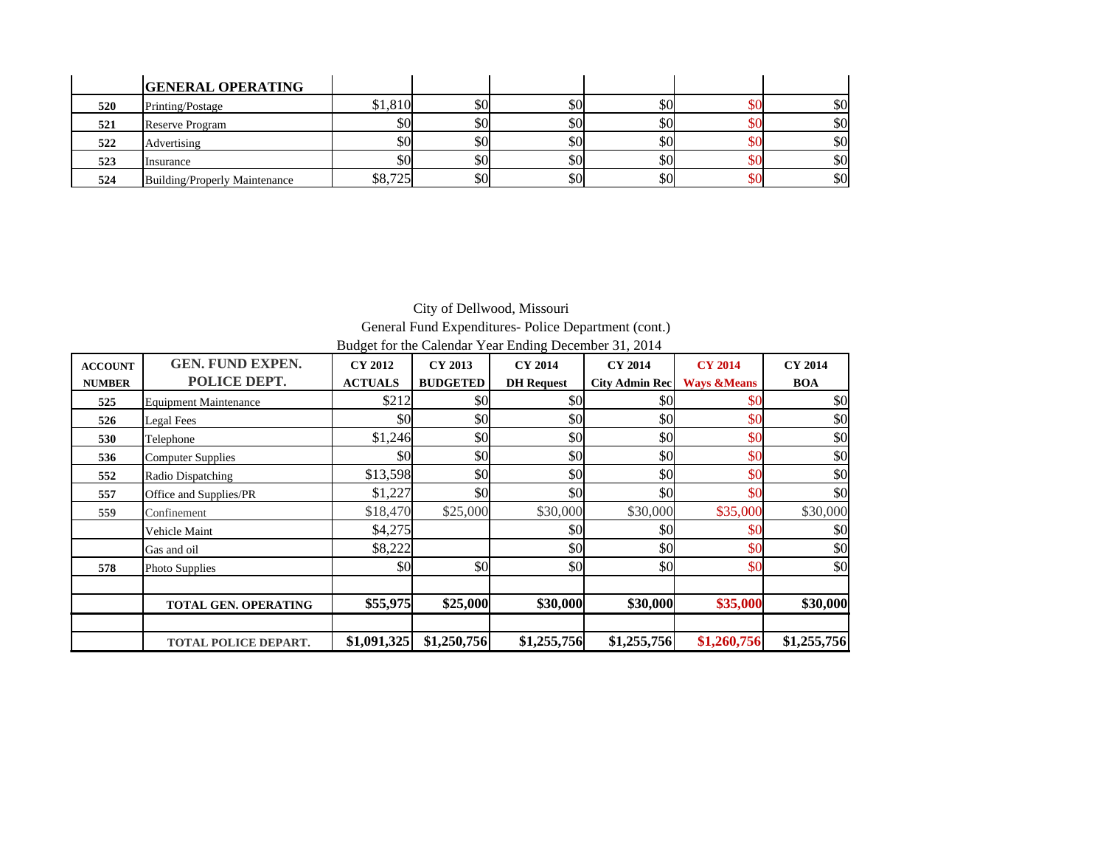|     | <b>GENERAL OPERATING</b>      |                   |     |     |     |     |     |
|-----|-------------------------------|-------------------|-----|-----|-----|-----|-----|
| 520 | Printing/Postage              | \$1,810           | \$0 | \$0 | \$0 |     | \$0 |
| 521 | Reserve Program               | \$0l              | \$0 | \$0 | \$0 |     | \$0 |
| 522 | Advertising                   | \$0l              | \$0 | \$0 | \$0 |     | \$0 |
| 523 | Insurance                     | \$0l              | \$0 | \$0 | \$0 |     | \$0 |
| 524 | Building/Properly Maintenance | QQ725<br>90. I 2J | \$0 | \$0 | \$0 | \$0 | \$0 |

### City of Dellwood, Missouri General Fund Expenditures- Police Department (cont.) Budget for the Calendar Year Ending December 31, 2014

| <b>ACCOUNT</b> | <b>GEN. FUND EXPEN.</b>      | <b>CY 2012</b> | CY 2013         | <b>CY 2014</b>    | <b>CY 2014</b>        | <b>CY 2014</b>         | <b>CY 2014</b> |
|----------------|------------------------------|----------------|-----------------|-------------------|-----------------------|------------------------|----------------|
| <b>NUMBER</b>  | POLICE DEPT.                 | <b>ACTUALS</b> | <b>BUDGETED</b> | <b>DH</b> Request | <b>City Admin Rec</b> | <b>Ways &amp;Means</b> | <b>BOA</b>     |
| 525            | <b>Equipment Maintenance</b> | \$212          | \$0             | \$0               | \$0                   | \$0                    | \$0            |
| 526            | Legal Fees                   | \$0            | \$0             | \$0               | \$0                   | \$0                    | \$0            |
| 530            | Telephone                    | \$1,246        | \$0             | \$0               | \$0                   | \$0                    | \$0            |
| 536            | <b>Computer Supplies</b>     | \$0            | \$0             | \$0               | \$0                   | \$0                    | \$0            |
| 552            | Radio Dispatching            | \$13,598       | \$0             | \$0               | \$0                   | \$0                    | \$0            |
| 557            | Office and Supplies/PR       | \$1,227        | \$0             | \$0               | \$0                   | \$0                    | \$0            |
| 559            | Confinement                  | \$18,470       | \$25,000        | \$30,000          | \$30,000              | \$35,000               | \$30,000       |
|                | Vehicle Maint                | \$4,275        |                 | \$0               | \$0                   | \$0                    | \$0            |
|                | Gas and oil                  | \$8,222        |                 | \$0               | \$0                   | \$0                    | \$0            |
| 578            | Photo Supplies               | \$0            | \$0             | \$0               | \$0                   | \$0                    | \$0            |
|                |                              |                |                 |                   |                       |                        |                |
|                | <b>TOTAL GEN. OPERATING</b>  | \$55,975       | \$25,000        | \$30,000          | \$30,000              | \$35,000               | \$30,000       |
|                |                              |                |                 |                   |                       |                        |                |
|                | TOTAL POLICE DEPART.         | \$1,091,325    | \$1,250,756     | \$1,255,756       | \$1,255,756           | \$1,260,756            | \$1,255,756    |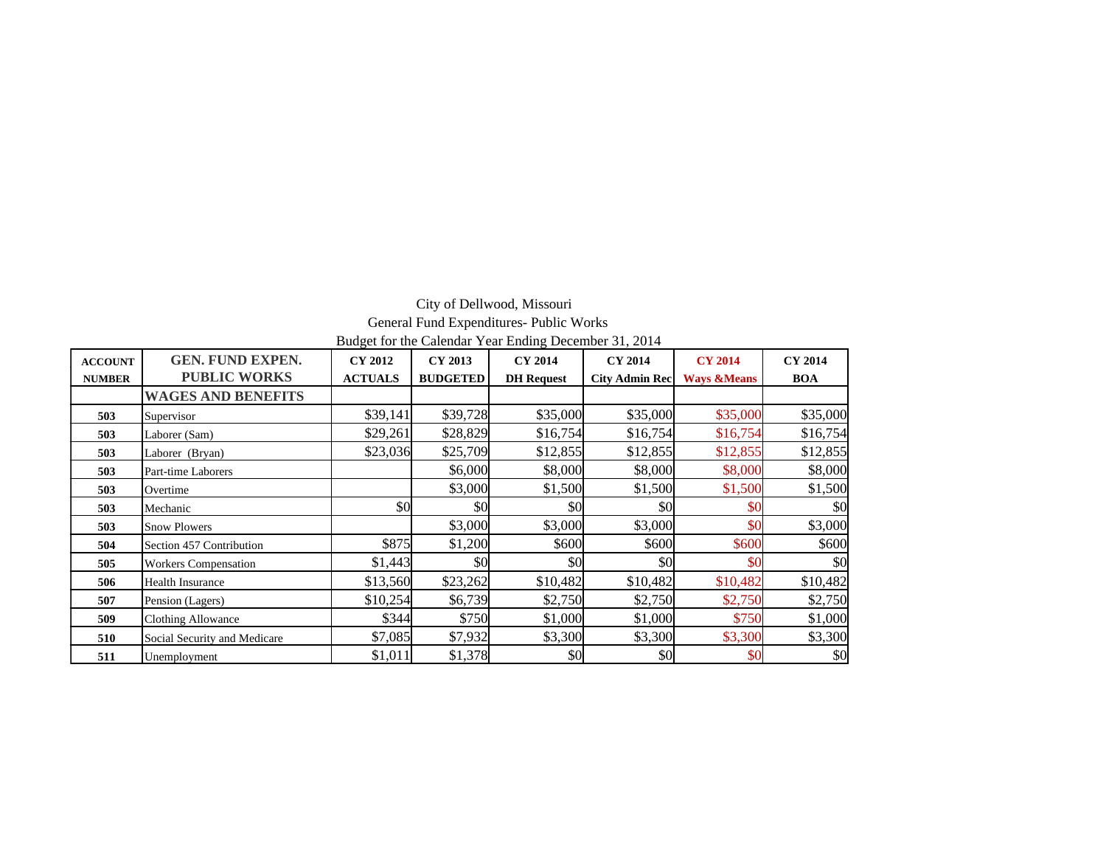### City of Dellwood, Missouri General Fund Expenditures- Public Works Budget for the Calendar Year Ending December 31, 2014

| <b>ACCOUNT</b> | <b>GEN. FUND EXPEN.</b><br><b>PUBLIC WORKS</b> | CY 2012        | CY 2013         | <b>CY 2014</b>    | <b>CY 2014</b>        | <b>CY 2014</b>         | <b>CY 2014</b> |
|----------------|------------------------------------------------|----------------|-----------------|-------------------|-----------------------|------------------------|----------------|
| <b>NUMBER</b>  |                                                | <b>ACTUALS</b> | <b>BUDGETED</b> | <b>DH</b> Request | <b>City Admin Rec</b> | <b>Ways &amp;Means</b> | <b>BOA</b>     |
|                | <b>WAGES AND BENEFITS</b>                      |                |                 |                   |                       |                        |                |
| 503            | Supervisor                                     | \$39,141       | \$39,728        | \$35,000          | \$35,000              | \$35,000               | \$35,000       |
| 503            | Laborer (Sam)                                  | \$29,261       | \$28,829        | \$16,754          | \$16,754              | \$16,754               | \$16,754       |
| 503            | Laborer (Bryan)                                | \$23,036       | \$25,709        | \$12,855          | \$12,855              | \$12,855               | \$12,855       |
| 503            | Part-time Laborers                             |                | \$6,000         | \$8,000           | \$8,000               | \$8,000                | \$8,000        |
| 503            | Overtime                                       |                | \$3,000         | \$1,500           | \$1,500               | \$1,500                | \$1,500        |
| 503            | Mechanic                                       | \$0            | \$0             | \$0               | \$0                   | \$0                    | \$0            |
| 503            | <b>Snow Plowers</b>                            |                | \$3,000         | \$3,000           | \$3,000               | \$0                    | \$3,000        |
| 504            | Section 457 Contribution                       | \$875          | \$1,200         | \$600             | \$600                 | \$600                  | \$600          |
| 505            | <b>Workers Compensation</b>                    | \$1,443        | \$0             | \$0               | \$0                   | \$0                    | \$0            |
| 506            | Health Insurance                               | \$13,560       | \$23,262        | \$10,482          | \$10,482              | \$10,482               | \$10,482       |
| 507            | Pension (Lagers)                               | \$10,254       | \$6,739         | \$2,750           | \$2,750               | \$2,750                | \$2,750        |
| 509            | <b>Clothing Allowance</b>                      | \$344          | \$750           | \$1,000           | \$1,000               | \$750                  | \$1,000        |
| 510            | Social Security and Medicare                   | \$7,085        | \$7,932         | \$3,300           | \$3,300               | \$3,300                | \$3,300        |
| 511            | Unemployment                                   | \$1,011        | \$1,378         | \$0               | \$0                   | \$0                    | \$0            |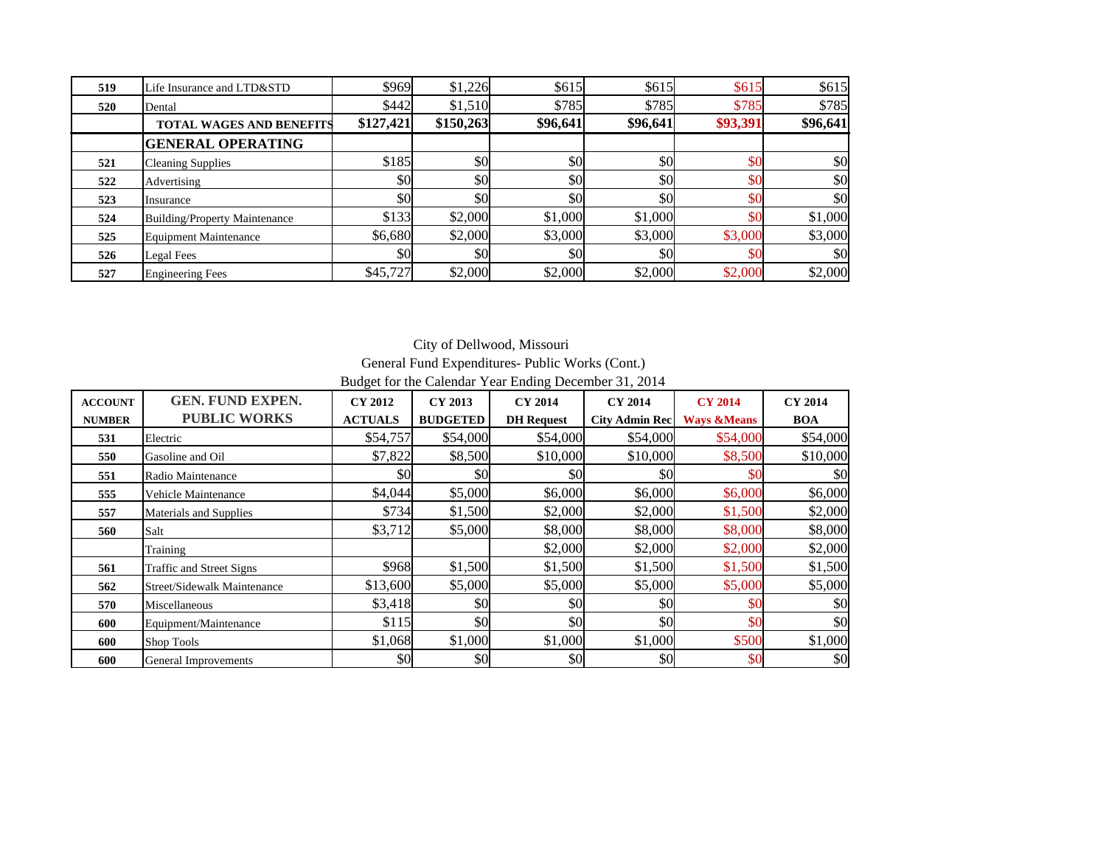| 519 | Life Insurance and LTD&STD           | \$969     | \$1,226   | \$615    | \$615    | \$615    | \$615                   |
|-----|--------------------------------------|-----------|-----------|----------|----------|----------|-------------------------|
| 520 | Dental                               | \$442]    | \$1,510   | \$785    | \$785    | \$785    | \$785                   |
|     | <b>TOTAL WAGES AND BENEFITS</b>      | \$127,421 | \$150,263 | \$96,641 | \$96,641 | \$93,391 | \$96,641                |
|     | <b>GENERAL OPERATING</b>             |           |           |          |          |          |                         |
| 521 | <b>Cleaning Supplies</b>             | \$185     | \$0       | \$0      | \$0      | \$0      | \$0                     |
| 522 | Advertising                          | \$0       | \$0       | \$0      | \$0      | \$0      | $\vert \$\text{O}\vert$ |
| 523 | Insurance                            | \$0       | \$0       | \$0      | \$0      | \$0      | \$0                     |
| 524 | <b>Building/Property Maintenance</b> | \$133     | \$2,000   | \$1,000  | \$1,000  | \$0      | \$1,000                 |
| 525 | <b>Equipment Maintenance</b>         | \$6.680   | \$2,000   | \$3,000  | \$3,000  | \$3,000  | \$3,000                 |
| 526 | Legal Fees                           | \$0       | \$0       | \$0      | \$0      | \$0      | \$0                     |
| 527 | <b>Engineering Fees</b>              | \$45,727  | \$2,000   | \$2,000  | \$2,000  | \$2,000  | \$2,000                 |

City of Dellwood, Missouri General Fund Expenditures- Public Works (Cont.)

Budget for the Calendar Year Ending December 31, 2014

| <b>ACCOUNT</b><br><b>NUMBER</b> | <b>GEN. FUND EXPEN.</b><br><b>PUBLIC WORKS</b> | <b>CY 2012</b><br><b>ACTUALS</b> | CY 2013<br><b>BUDGETED</b> | <b>CY 2014</b><br><b>DH</b> Request | <b>CY 2014</b><br><b>City Admin Rec</b> | <b>CY 2014</b><br><b>Ways &amp;Means</b> | <b>CY 2014</b><br><b>BOA</b> |
|---------------------------------|------------------------------------------------|----------------------------------|----------------------------|-------------------------------------|-----------------------------------------|------------------------------------------|------------------------------|
| 531                             | Electric                                       | \$54,757                         | \$54,000                   | \$54,000                            | \$54,000                                | \$54,000                                 | \$54,000                     |
| 550                             | Gasoline and Oil                               | \$7,822                          | \$8,500                    | \$10,000                            | \$10,000                                | \$8,500                                  | \$10,000                     |
| 551                             | Radio Maintenance                              | \$0                              | \$0                        | \$0                                 | \$0                                     | \$0                                      | \$0                          |
| 555                             | Vehicle Maintenance                            | \$4,044                          | \$5,000                    | \$6,000                             | \$6,000                                 | \$6,000                                  | \$6,000                      |
| 557                             | Materials and Supplies                         | \$734                            | \$1,500                    | \$2,000                             | \$2,000                                 | \$1,500                                  | \$2,000                      |
| 560                             | Salt                                           | \$3,712                          | \$5,000                    | \$8,000                             | \$8,000                                 | \$8,000                                  | \$8,000                      |
|                                 | Training                                       |                                  |                            | \$2,000                             | \$2,000                                 | \$2,000                                  | \$2,000                      |
| 561                             | Traffic and Street Signs                       | \$968                            | \$1,500                    | \$1,500                             | \$1,500                                 | \$1,500                                  | \$1,500                      |
| 562                             | Street/Sidewalk Maintenance                    | \$13,600                         | \$5,000                    | \$5,000                             | \$5,000                                 | \$5,000                                  | \$5,000                      |
| 570                             | Miscellaneous                                  | \$3,418                          | \$0                        | \$0                                 | \$0                                     | \$0                                      | \$0                          |
| 600                             | Equipment/Maintenance                          | \$115                            | \$0                        | \$0                                 | \$0                                     | \$0                                      | \$0                          |
| 600                             | Shop Tools                                     | \$1,068                          | \$1,000                    | \$1,000                             | \$1,000                                 | \$500                                    | \$1,000                      |
| 600                             | General Improvements                           | \$0                              | \$0                        | \$0                                 | \$0                                     | \$0                                      | \$0                          |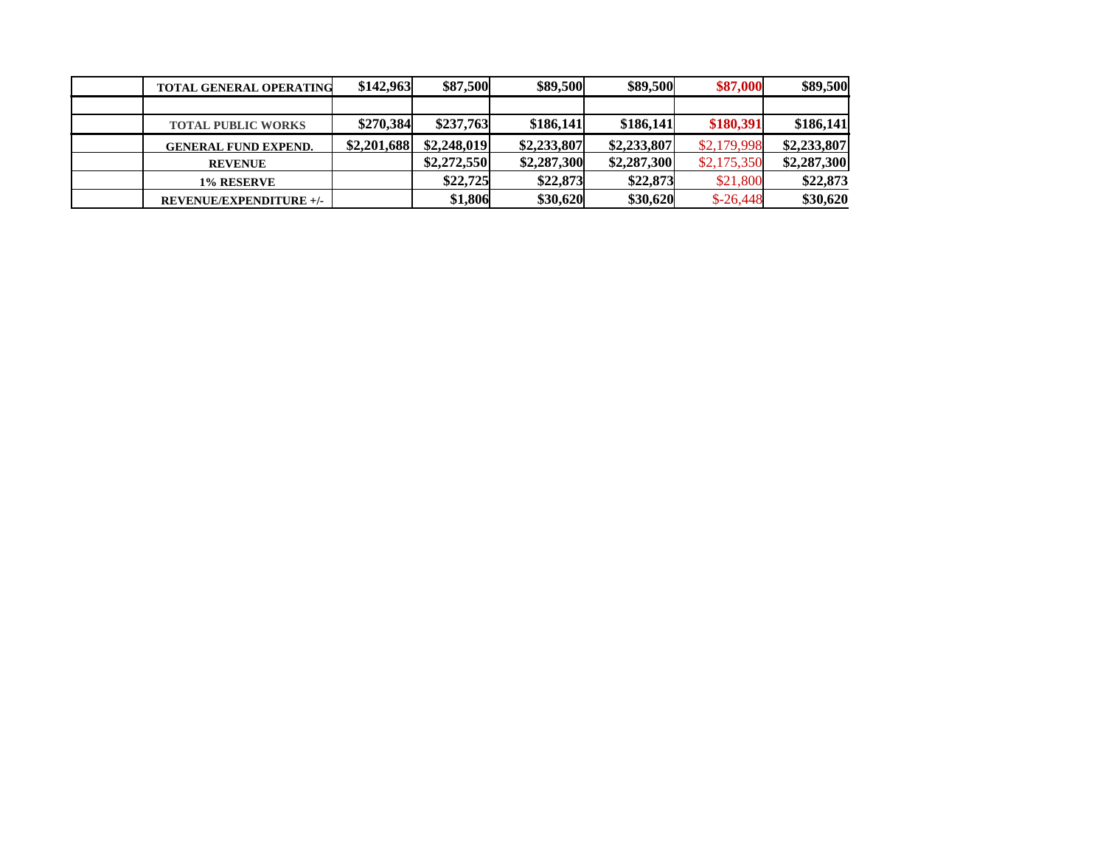| <b>TOTAL GENERAL OPERATING</b> | \$142,963   | \$87,500    | \$89,500    | \$89,500    | \$87,000    | \$89,500    |
|--------------------------------|-------------|-------------|-------------|-------------|-------------|-------------|
|                                |             |             |             |             |             |             |
| <b>TOTAL PUBLIC WORKS</b>      | \$270.384   | \$237,763   | \$186,141   | \$186,141   | \$180,391   | \$186,141   |
| <b>GENERAL FUND EXPEND.</b>    | \$2,201,688 | \$2,248,019 | \$2,233,807 | \$2,233,807 | \$2,179,998 | \$2,233,807 |
| <b>REVENUE</b>                 |             | \$2,272,550 | \$2,287,300 | \$2,287,300 | \$2,175,350 | \$2,287,300 |
| 1% RESERVE                     |             | \$22,725    | \$22,873    | \$22,873    | \$21,800    | \$22,873    |
| <b>REVENUE/EXPENDITURE +/-</b> |             | \$1,806     | \$30,620    | \$30,620    | $$-26,448$  | \$30,620    |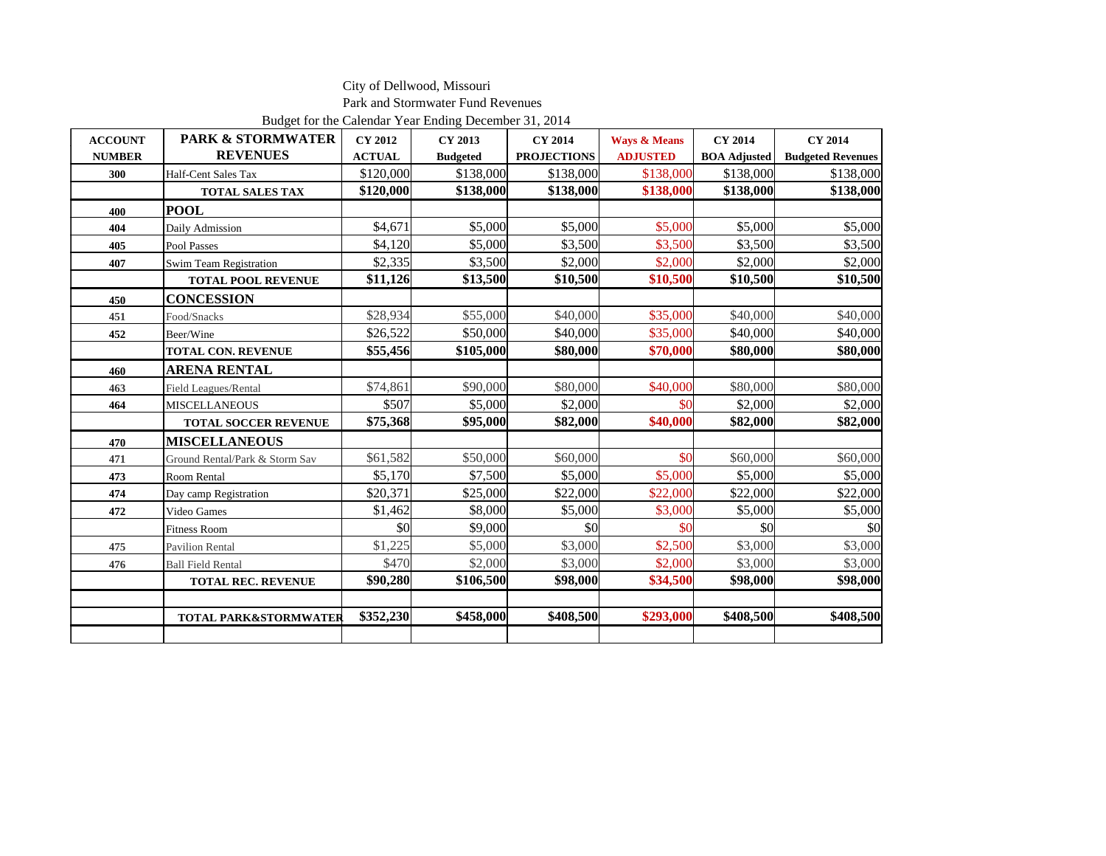Park and Stormwater Fund Revenues

Budget for the Calendar Year Ending December 31, 2014

| <b>ACCOUNT</b> | <b>PARK &amp; STORMWATER</b>     | <b>CY 2012</b> | <b>CY 2013</b>  | <b>CY 2014</b>     | <b>Ways &amp; Means</b> | <b>CY 2014</b>      | <b>CY 2014</b>           |
|----------------|----------------------------------|----------------|-----------------|--------------------|-------------------------|---------------------|--------------------------|
| <b>NUMBER</b>  | <b>REVENUES</b>                  | <b>ACTUAL</b>  | <b>Budgeted</b> | <b>PROJECTIONS</b> | <b>ADJUSTED</b>         | <b>BOA</b> Adjusted | <b>Budgeted Revenues</b> |
| 300            | Half-Cent Sales Tax              | \$120,000      | \$138,000       | \$138,000          | \$138,000               | \$138,000           | \$138,000                |
|                | <b>TOTAL SALES TAX</b>           | \$120,000      | \$138,000       | \$138,000          | \$138,000               | \$138,000           | \$138,000                |
| 400            | <b>POOL</b>                      |                |                 |                    |                         |                     |                          |
| 404            | Daily Admission                  | \$4,671        | \$5,000         | \$5,000            | \$5,000                 | \$5,000             | \$5,000                  |
| 405            | Pool Passes                      | \$4,120        | \$5,000         | \$3,500            | \$3,500                 | \$3,500             | \$3,500                  |
| 407            | Swim Team Registration           | \$2,335        | \$3,500         | \$2,000            | \$2,000                 | \$2,000             | \$2,000                  |
|                | <b>TOTAL POOL REVENUE</b>        | \$11,126       | \$13,500        | \$10,500           | \$10,500                | \$10,500            | \$10,500                 |
| 450            | <b>CONCESSION</b>                |                |                 |                    |                         |                     |                          |
| 451            | Food/Snacks                      | \$28,934       | \$55,000        | \$40,000           | \$35,000                | \$40,000            | \$40,000                 |
| 452            | Beer/Wine                        | \$26,522       | \$50,000        | \$40,000           | \$35,000                | \$40,000            | \$40,000                 |
|                | <b>TOTAL CON. REVENUE</b>        | \$55,456       | \$105,000       | \$80,000           | \$70,000                | \$80,000            | \$80,000                 |
| 460            | ARENA RENTAL                     |                |                 |                    |                         |                     |                          |
| 463            | Field Leagues/Rental             | \$74,861       | \$90,000        | \$80,000           | \$40,000                | \$80,000            | \$80,000                 |
| 464            | <b>MISCELLANEOUS</b>             | \$507          | \$5,000         | \$2,000            | \$0                     | \$2,000             | \$2,000                  |
|                | <b>TOTAL SOCCER REVENUE</b>      | \$75,368       | \$95,000        | \$82,000           | \$40,000                | \$82,000            | \$82,000                 |
| 470            | <b>MISCELLANEOUS</b>             |                |                 |                    |                         |                     |                          |
| 471            | Ground Rental/Park & Storm Sav   | \$61,582       | \$50,000        | \$60,000           | \$0                     | \$60,000            | \$60,000                 |
| 473            | <b>Room Rental</b>               | \$5,170        | \$7,500         | \$5,000            | \$5,000                 | \$5,000             | \$5,000                  |
| 474            | Day camp Registration            | \$20,371       | \$25,000        | \$22,000           | \$22,000                | \$22,000            | \$22,000                 |
| 472            | Video Games                      | \$1,462        | \$8,000         | \$5,000            | \$3,000                 | \$5,000             | \$5,000                  |
|                | <b>Fitness Room</b>              | \$0            | \$9,000         | \$0                | \$0                     | \$0                 | \$0                      |
| 475            | <b>Pavilion Rental</b>           | \$1,225        | \$5,000         | \$3,000            | \$2,500                 | \$3,000             | \$3,000                  |
| 476            | <b>Ball Field Rental</b>         | \$470          | \$2,000         | \$3,000            | \$2,000                 | \$3,000             | \$3,000                  |
|                | <b>TOTAL REC. REVENUE</b>        | \$90,280       | \$106,500       | \$98,000           | \$34,500                | \$98,000            | \$98,000                 |
|                |                                  |                |                 |                    |                         |                     |                          |
|                | <b>TOTAL PARK&amp;STORMWATER</b> | \$352,230      | \$458,000       | \$408,500          | \$293,000               | \$408,500           | \$408,500                |
|                |                                  |                |                 |                    |                         |                     |                          |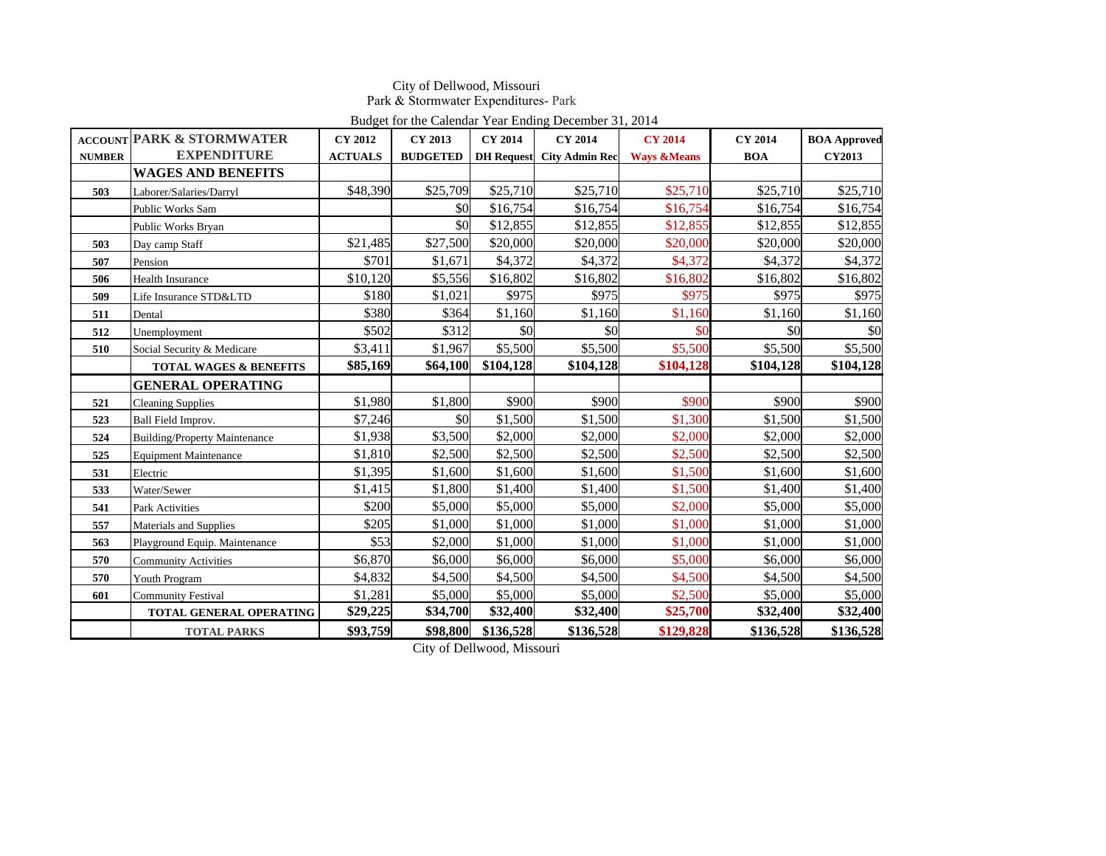### City of Dellwood, Missouri Park & Stormwater Expenditures- Park

|               | Budget for the Calendar Year Ending December 31, 2014 |                |                 |                   |                       |                        |                |                     |  |  |
|---------------|-------------------------------------------------------|----------------|-----------------|-------------------|-----------------------|------------------------|----------------|---------------------|--|--|
|               | <b>ACCOUNT PARK &amp; STORMWATER</b>                  | <b>CY 2012</b> | CY 2013         | <b>CY 2014</b>    | <b>CY 2014</b>        | <b>CY 2014</b>         | <b>CY 2014</b> | <b>BOA Approved</b> |  |  |
| <b>NUMBER</b> | <b>EXPENDITURE</b>                                    | <b>ACTUALS</b> | <b>BUDGETED</b> | <b>DH</b> Request | <b>City Admin Rec</b> | <b>Ways &amp;Means</b> | <b>BOA</b>     | <b>CY2013</b>       |  |  |
|               | <b>WAGES AND BENEFITS</b>                             |                |                 |                   |                       |                        |                |                     |  |  |
| 503           | Laborer/Salaries/Darryl                               | \$48,390       | \$25,709        | \$25,710          | \$25,710              | \$25,710               | \$25,710       | \$25,710            |  |  |
|               | Public Works Sam                                      |                | \$0             | \$16,754          | \$16,754              | \$16,754               | \$16,754       | \$16,754            |  |  |
|               | Public Works Bryan                                    |                | \$0             | \$12,855          | \$12,855              | \$12,855               | \$12,855       | \$12,855            |  |  |
| 503           | Day camp Staff                                        | \$21,485       | \$27,500        | \$20,000          | \$20,000              | \$20,000               | \$20,000       | \$20,000            |  |  |
| 507           | Pension                                               | \$701          | \$1.671         | \$4,372           | \$4,372               | \$4,372                | \$4,372        | \$4,372             |  |  |
| 506           | <b>Health Insurance</b>                               | \$10,120       | \$5,556         | \$16,802          | \$16,802              | \$16,802               | \$16,802       | \$16,802            |  |  |
| 509           | Life Insurance STD&LTD                                | \$180          | \$1,021         | \$975             | \$975                 | \$975                  | \$975          | \$975               |  |  |
| 511           | Dental                                                | \$380          | \$364           | \$1,160           | \$1,160               | \$1,160                | \$1,160        | \$1,160             |  |  |
| 512           | Unemployment                                          | \$502          | \$312           | \$0               | \$0                   | \$0                    | \$0            | \$0                 |  |  |
| 510           | Social Security & Medicare                            | \$3,411        | \$1,967         | \$5,500           | \$5,500               | \$5,500                | \$5,500        | \$5,500             |  |  |
|               | <b>TOTAL WAGES &amp; BENEFITS</b>                     | \$85,169       | \$64,100        | \$104,128         | \$104,128             | \$104,128              | \$104,128      | \$104,128           |  |  |
|               | <b>GENERAL OPERATING</b>                              |                |                 |                   |                       |                        |                |                     |  |  |
| 521           | <b>Cleaning Supplies</b>                              | \$1,980        | \$1,800         | \$900             | \$900                 | \$900                  | \$900          | \$900               |  |  |
| 523           | Ball Field Improv.                                    | \$7,246        | \$0             | \$1,500           | \$1,500               | \$1,300                | \$1,500        | \$1,500             |  |  |
| 524           | <b>Building/Property Maintenance</b>                  | \$1,938        | \$3,500         | \$2,000           | \$2,000               | \$2,000                | \$2,000        | \$2,000             |  |  |
| 525           | <b>Equipment Maintenance</b>                          | \$1,810        | \$2,500         | \$2,500           | \$2,500               | \$2,500                | \$2,500        | \$2,500             |  |  |
| 531           | Electric                                              | \$1,395        | \$1,600         | \$1,600           | \$1,600               | \$1,500                | \$1,600        | \$1,600             |  |  |
| 533           | Water/Sewer                                           | \$1,415        | \$1,800         | \$1,400           | \$1,400               | \$1,500                | \$1,400        | \$1,400             |  |  |
| 541           | Park Activities                                       | \$200          | \$5,000         | \$5,000           | \$5,000               | \$2,000                | \$5,000        | \$5,000             |  |  |
| 557           | Materials and Supplies                                | \$205          | \$1,000         | \$1,000           | \$1,000               | \$1,000                | \$1,000        | \$1,000             |  |  |
| 563           | Playground Equip. Maintenance                         | \$53           | \$2,000         | \$1,000           | \$1,000               | \$1,000                | \$1,000        | \$1,000             |  |  |
| 570           | <b>Community Activities</b>                           | \$6,870        | \$6,000         | \$6,000           | \$6,000               | \$5,000                | \$6,000        | \$6,000             |  |  |
| 570           | Youth Program                                         | \$4,832        | \$4,500         | \$4,500           | \$4,500               | \$4,500                | \$4,500        | \$4,500             |  |  |
| 601           | <b>Community Festival</b>                             | \$1,281        | \$5,000         | \$5,000           | \$5,000               | \$2,500                | \$5,000        | \$5,000             |  |  |
|               | <b>TOTAL GENERAL OPERATING</b>                        | \$29,225       | \$34,700        | \$32,400          | \$32,400              | \$25,700               | \$32,400       | \$32,400            |  |  |
|               | <b>TOTAL PARKS</b>                                    | \$93,759       | \$98,800        | \$136,528         | \$136,528             | \$129,828              | \$136,528      | \$136,528           |  |  |

City of Dellwood, Missouri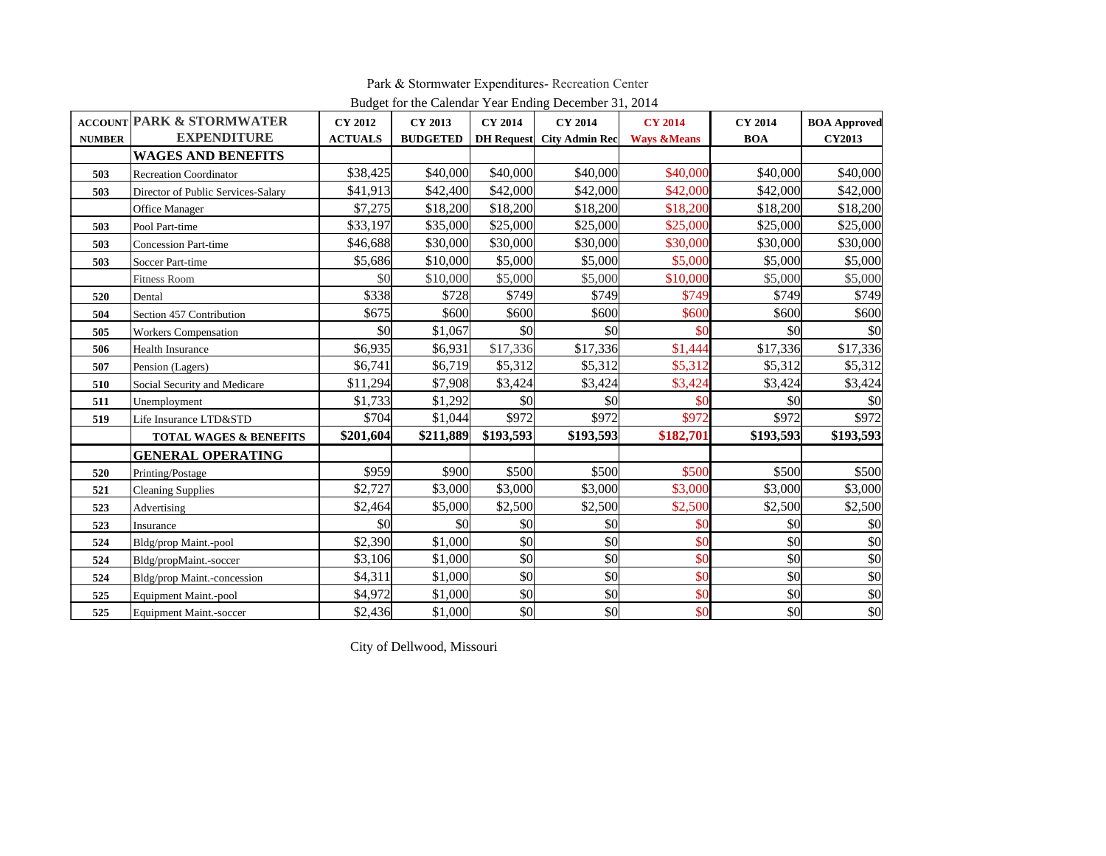|               | Budget for the Calendar Year Ending December 31, 2014 |                |                 |                   |                       |                        |                |                     |  |  |  |  |
|---------------|-------------------------------------------------------|----------------|-----------------|-------------------|-----------------------|------------------------|----------------|---------------------|--|--|--|--|
|               | <b>ACCOUNT PARK &amp; STORMWATER</b>                  | <b>CY 2012</b> | <b>CY 2013</b>  | <b>CY 2014</b>    | <b>CY 2014</b>        | <b>CY 2014</b>         | <b>CY 2014</b> | <b>BOA Approved</b> |  |  |  |  |
| <b>NUMBER</b> | <b>EXPENDITURE</b>                                    | <b>ACTUALS</b> | <b>BUDGETED</b> | <b>DH</b> Request | <b>City Admin Rec</b> | <b>Ways &amp;Means</b> | <b>BOA</b>     | <b>CY2013</b>       |  |  |  |  |
|               | <b>WAGES AND BENEFITS</b>                             |                |                 |                   |                       |                        |                |                     |  |  |  |  |
| 503           | <b>Recreation Coordinator</b>                         | \$38,425       | \$40,000        | \$40,000          | \$40,000              | \$40,000               | \$40,000       | \$40,000            |  |  |  |  |
| 503           | Director of Public Services-Salary                    | \$41,913       | \$42,400        | \$42,000          | \$42,000              | \$42,000               | \$42,000       | \$42,000            |  |  |  |  |
|               | Office Manager                                        | \$7,275        | \$18,200        | \$18,200          | \$18,200              | \$18,200               | \$18,200       | \$18,200            |  |  |  |  |
| 503           | Pool Part-time                                        | \$33,197       | \$35,000        | \$25,000          | \$25,000              | \$25,000               | \$25,000       | \$25,000            |  |  |  |  |
| 503           | <b>Concession Part-time</b>                           | \$46,688       | \$30,000        | \$30,000          | \$30,000              | \$30,000               | \$30,000       | \$30,000            |  |  |  |  |
| 503           | Soccer Part-time                                      | \$5,686        | \$10,000        | \$5,000           | \$5,000               | \$5,000                | \$5,000        | \$5,000             |  |  |  |  |
|               | <b>Fitness Room</b>                                   | \$0            | \$10,000        | \$5,000           | \$5,000               | \$10,000               | \$5,000        | \$5,000             |  |  |  |  |
| 520           | Dental                                                | \$338          | \$728           | \$749             | \$749                 | \$749                  | \$749          | \$749               |  |  |  |  |
| 504           | Section 457 Contribution                              | \$675          | \$600           | \$600             | \$600                 | \$600                  | \$600          | \$600               |  |  |  |  |
| 505           | Workers Compensation                                  | \$0            | \$1,067         | \$0               | \$0                   | \$0                    | \$0            | \$0                 |  |  |  |  |
| 506           | <b>Health Insurance</b>                               | \$6,935        | \$6,931         | \$17,336          | \$17,336              | \$1,444                | \$17,336       | \$17,336            |  |  |  |  |
| 507           | Pension (Lagers)                                      | \$6,741        | \$6,719         | \$5,312           | \$5,312               | \$5,312                | \$5,312        | \$5,312             |  |  |  |  |
| 510           | Social Security and Medicare                          | \$11,294       | \$7,908         | \$3,424           | \$3,424               | \$3,424                | \$3,424        | \$3,424             |  |  |  |  |
| 511           | Unemployment                                          | \$1,733        | \$1,292         | \$0               | \$0                   | \$0                    | \$0            | \$0                 |  |  |  |  |
| 519           | Life Insurance LTD&STD                                | \$704          | \$1,044         | \$972             | \$972                 | \$972                  | \$972          | \$972               |  |  |  |  |
|               | <b>TOTAL WAGES &amp; BENEFITS</b>                     | \$201,604      | \$211,889       | \$193,593         | \$193,593             | \$182,701              | \$193,593      | \$193,593           |  |  |  |  |
|               | <b>GENERAL OPERATING</b>                              |                |                 |                   |                       |                        |                |                     |  |  |  |  |
| 520           | Printing/Postage                                      | \$959          | \$900           | \$500             | \$500                 | \$500                  | \$500          | \$500               |  |  |  |  |
| 521           | <b>Cleaning Supplies</b>                              | \$2,727        | \$3,000         | \$3,000           | \$3,000               | \$3,000                | \$3,000        | \$3,000             |  |  |  |  |
| 523           | Advertising                                           | \$2,464        | \$5,000         | \$2,500           | \$2,500               | \$2,500                | \$2,500        | \$2,500             |  |  |  |  |
| 523           | Insurance                                             | \$0            | \$0             | \$0               | \$0                   | \$0                    | \$0            | \$0                 |  |  |  |  |
| 524           | Bldg/prop Maint.-pool                                 | \$2,390        | \$1,000         | \$0               | \$0                   | \$0                    | \$0            | \$0                 |  |  |  |  |
| 524           | Bldg/propMaint.-soccer                                | \$3,106        | \$1,000         | \$0               | \$0                   | \$0                    | \$0            | \$0                 |  |  |  |  |
| 524           | Bldg/prop Maint.-concession                           | \$4,311        | \$1,000         | \$0               | \$0                   | \$0                    | \$0            | \$0                 |  |  |  |  |
| 525           | Equipment Maint.-pool                                 | \$4,972        | \$1,000         | \$0               | \$0                   | \$0                    | \$0            | \$0                 |  |  |  |  |
| 525           | <b>Equipment Maint.-soccer</b>                        | \$2,436        | \$1,000         | \$0               | $\frac{1}{20}$        | \$0                    | \$0            | \$0                 |  |  |  |  |

Park & Stormwater Expenditures- Recreation Center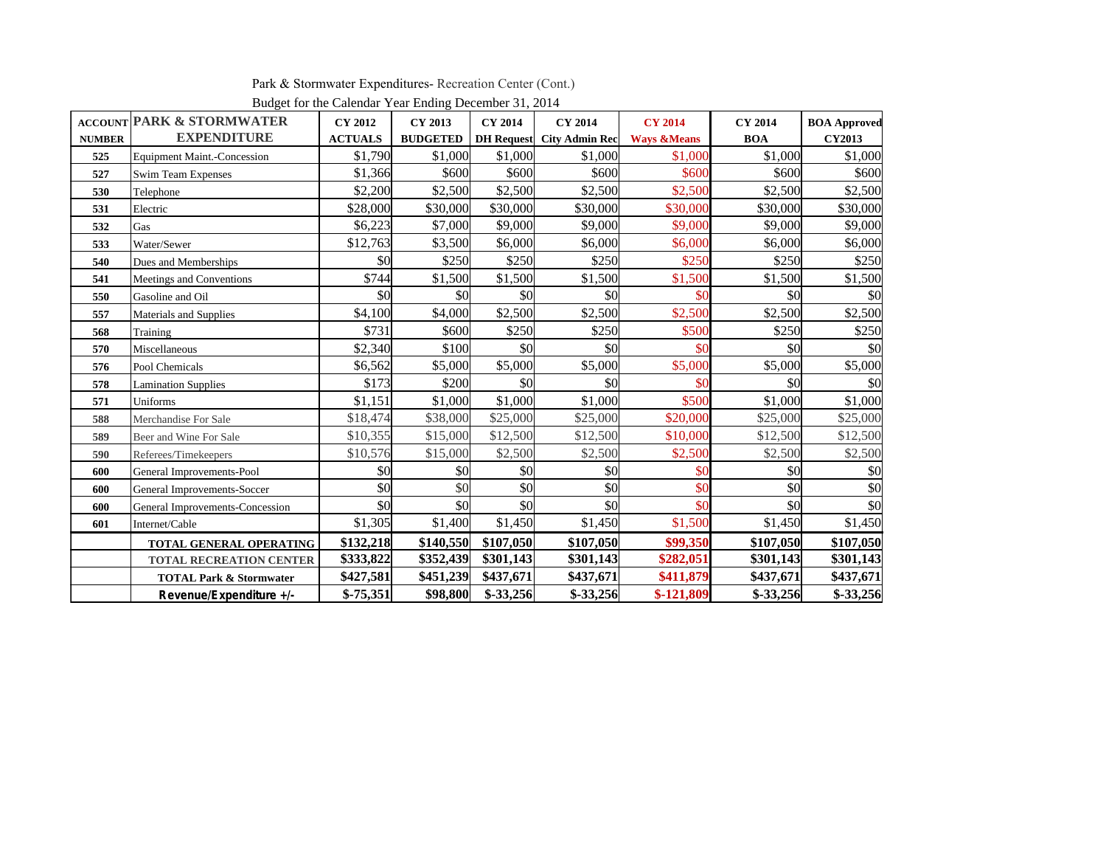Park & Stormwater Expenditures- Recreation Center (Cont.)

|               | <b>ACCOUNT PARK &amp; STORMWATER</b> | <b>CY 2012</b> | Budget for the Carendar Tear Ending December 91, 2014<br><b>CY 2013</b> | <b>CY 2014</b> | <b>CY 2014</b>                   | <b>CY 2014</b>         | <b>CY 2014</b> | <b>BOA Approved</b> |
|---------------|--------------------------------------|----------------|-------------------------------------------------------------------------|----------------|----------------------------------|------------------------|----------------|---------------------|
| <b>NUMBER</b> | <b>EXPENDITURE</b>                   | <b>ACTUALS</b> | <b>BUDGETED</b>                                                         |                | <b>DH Request</b> City Admin Rec | <b>Ways &amp;Means</b> | <b>BOA</b>     | <b>CY2013</b>       |
| 525           | <b>Equipment Maint.-Concession</b>   | \$1,790        | \$1,000                                                                 | \$1,000        | \$1,000                          | \$1,000                | \$1,000        | \$1,000             |
| 527           | <b>Swim Team Expenses</b>            | \$1,366        | \$600                                                                   | \$600          | \$600                            | \$600                  | \$600          | \$600               |
| 530           | Telephone                            | \$2,200        | \$2,500                                                                 | \$2,500        | \$2,500                          | \$2,500                | \$2,500        | \$2,500             |
| 531           | Electric                             | \$28,000       | \$30,000                                                                | \$30,000       | \$30,000                         | \$30,000               | \$30,000       | \$30,000            |
| 532           | Gas                                  | \$6,223        | \$7,000                                                                 | \$9,000        | \$9,000                          | \$9,000                | \$9,000        | \$9,000             |
| 533           | Water/Sewer                          | \$12,763       | \$3,500                                                                 | \$6,000        | \$6,000                          | \$6,000                | \$6,000        | \$6,000             |
| 540           | Dues and Memberships                 | \$0            | \$250                                                                   | \$250          | \$250                            | \$250                  | \$250          | \$250               |
| 541           | Meetings and Conventions             | \$744          | \$1,500                                                                 | \$1,500        | \$1,500                          | \$1,500                | \$1,500        | \$1,500             |
| 550           | Gasoline and Oil                     | \$0            | \$0                                                                     | \$0            | \$0                              | \$0                    | \$0            | \$0                 |
| 557           | Materials and Supplies               | \$4,100        | \$4,000                                                                 | \$2,500        | \$2,500                          | \$2,500                | \$2,500        | \$2,500             |
| 568           | Training                             | \$731          | \$600                                                                   | \$250          | \$250                            | \$500                  | \$250          | \$250               |
| 570           | Miscellaneous                        | \$2,340        | \$100                                                                   | \$0            | \$0                              | \$0                    | \$0            | \$0                 |
| 576           | Pool Chemicals                       | \$6,562        | \$5,000                                                                 | \$5,000        | \$5,000                          | \$5,000                | \$5,000        | \$5,000             |
| 578           | <b>Lamination Supplies</b>           | \$173          | \$200                                                                   | \$0            | \$0                              | \$0                    | \$0            | \$0                 |
| 571           | Uniforms                             | \$1,151        | \$1,000                                                                 | \$1,000        | \$1,000                          | \$500                  | \$1,000        | \$1,000             |
| 588           | Merchandise For Sale                 | \$18,474       | \$38,000                                                                | \$25,000       | \$25,000                         | \$20,000               | \$25,000       | \$25,000            |
| 589           | Beer and Wine For Sale               | \$10,355       | \$15,000                                                                | \$12,500       | \$12,500                         | \$10,000               | \$12,500       | \$12,500            |
| 590           | Referees/Timekeepers                 | \$10,576       | \$15,000                                                                | \$2,500        | \$2,500                          | \$2,500                | \$2,500        | \$2,500             |
| 600           | General Improvements-Pool            | \$0            | \$0                                                                     | \$0            | \$0                              | \$0                    | \$0            | \$0                 |
| 600           | General Improvements-Soccer          | \$0            | \$0                                                                     | \$0            | \$0                              | \$0                    | \$0            | \$0                 |
| 600           | General Improvements-Concession      | \$0            | \$0                                                                     | \$0            | \$0                              | \$0                    | \$0            | \$0                 |
| 601           | Internet/Cable                       | \$1,305        | \$1,400                                                                 | \$1,450        | \$1,450                          | \$1,500                | \$1,450        | \$1,450             |
|               | TOTAL GENERAL OPERATING              | \$132,218      | \$140,550                                                               | \$107,050      | \$107,050                        | \$99,350               | \$107,050      | \$107,050           |
|               | <b>TOTAL RECREATION CENTER</b>       | \$333,822      | \$352,439                                                               | \$301,143      | \$301,143                        | \$282,051              | \$301,143      | \$301,143           |
|               | <b>TOTAL Park &amp; Stormwater</b>   | \$427,581      | \$451,239                                                               | \$437,671      | \$437,671                        | \$411,879              | \$437,671      | \$437,671           |
|               | Revenue/Expenditure +/-              | $$-75,351$     | \$98,800                                                                | $$-33,256$     | $$-33,256$                       | $$-121,809$            | $$-33,256$     | $$-33,256$          |

Budget for the Calendar Year Ending December 31, 2014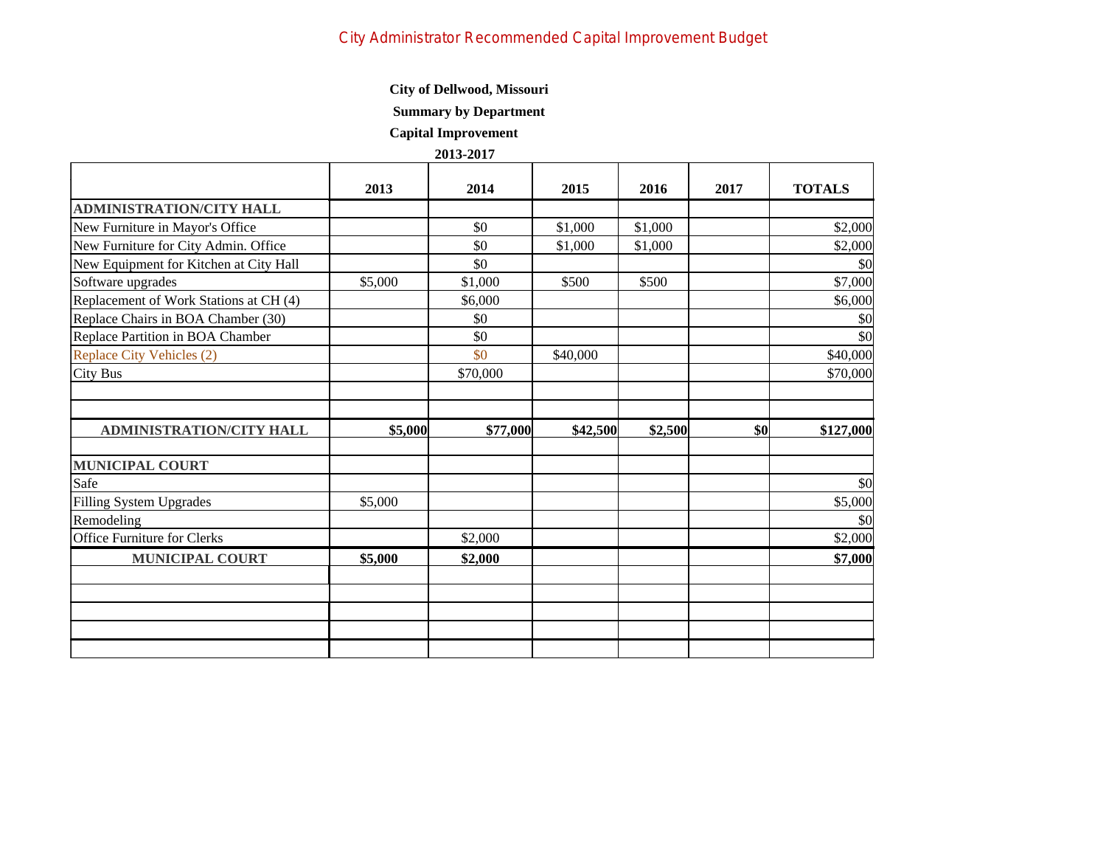# City Administrator Recommended Capital Improvement Budget

#### **City of Dellwood, Missouri**

### **Summary by Department**

 **Capital Improvement**

|                                        | 2013    | 2014     | 2015     | 2016    | 2017 | <b>TOTALS</b>         |
|----------------------------------------|---------|----------|----------|---------|------|-----------------------|
| <b>ADMINISTRATION/CITY HALL</b>        |         |          |          |         |      |                       |
| New Furniture in Mayor's Office        |         | \$0      | \$1,000  | \$1,000 |      | \$2,000               |
| New Furniture for City Admin. Office   |         | \$0      | \$1,000  | \$1,000 |      | \$2,000               |
| New Equipment for Kitchen at City Hall |         | \$0      |          |         |      | \$0                   |
| Software upgrades                      | \$5,000 | \$1,000  | \$500    | \$500   |      | \$7,000               |
| Replacement of Work Stations at CH (4) |         | \$6,000  |          |         |      | \$6,000               |
| Replace Chairs in BOA Chamber (30)     |         | \$0      |          |         |      | \$0                   |
| Replace Partition in BOA Chamber       |         | \$0      |          |         |      | \$0                   |
| Replace City Vehicles (2)              |         | \$0      | \$40,000 |         |      | \$40,000              |
| City Bus                               |         | \$70,000 |          |         |      | \$70,000              |
|                                        |         |          |          |         |      |                       |
|                                        |         |          |          |         |      |                       |
|                                        |         |          |          |         |      |                       |
| <b>ADMINISTRATION/CITY HALL</b>        | \$5,000 | \$77,000 | \$42,500 | \$2,500 | \$0  |                       |
|                                        |         |          |          |         |      | \$127,000             |
| <b>MUNICIPAL COURT</b>                 |         |          |          |         |      |                       |
| Safe                                   |         |          |          |         |      |                       |
| Filling System Upgrades                | \$5,000 |          |          |         |      |                       |
| Remodeling                             |         |          |          |         |      | \$0<br>\$5,000<br>\$0 |
| Office Furniture for Clerks            |         | \$2,000  |          |         |      | \$2,000               |
| <b>MUNICIPAL COURT</b>                 | \$5,000 | \$2,000  |          |         |      |                       |
|                                        |         |          |          |         |      |                       |
|                                        |         |          |          |         |      |                       |
|                                        |         |          |          |         |      | \$7,000               |
|                                        |         |          |          |         |      |                       |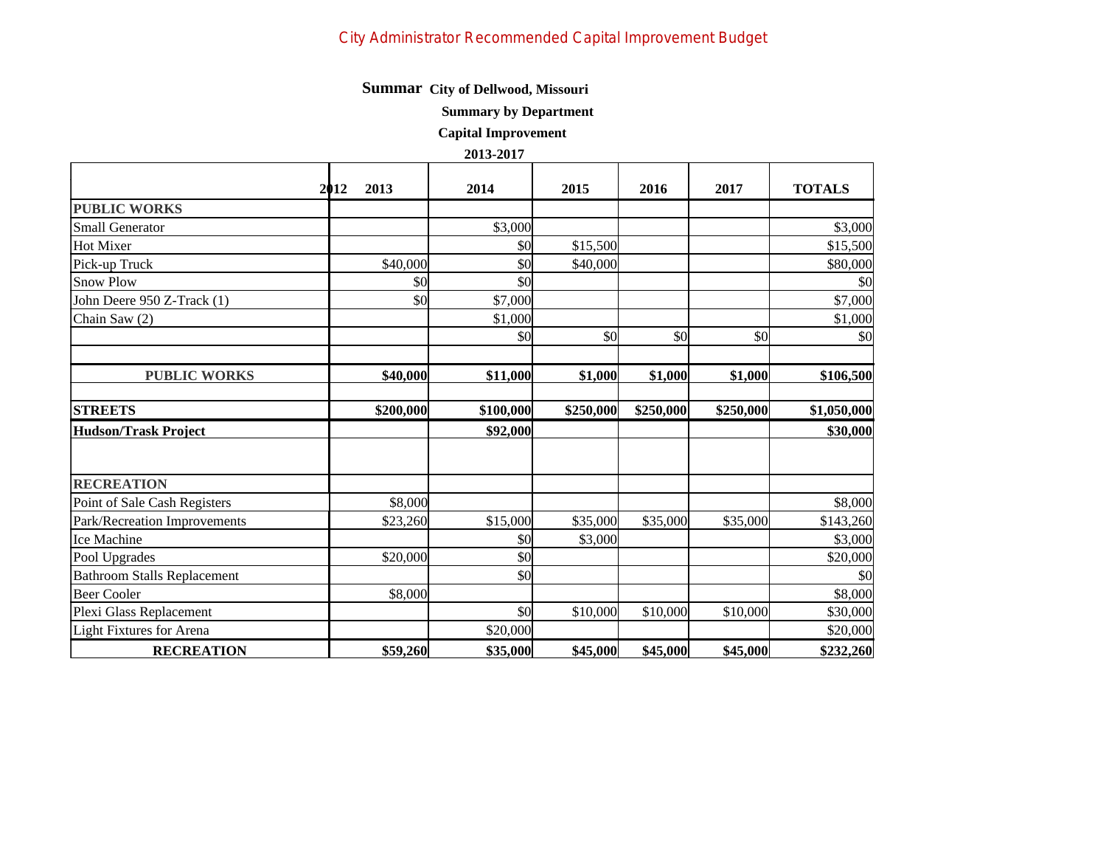# City Administrator Recommended Capital Improvement Budget

# **Summar City of Dellwood, Missouri**

 **Summary by Department**

 **Capital Improvement**

|                                    | 2013<br>2012 | 2014      | 2015      | 2016      | 2017      | <b>TOTALS</b> |
|------------------------------------|--------------|-----------|-----------|-----------|-----------|---------------|
| <b>PUBLIC WORKS</b>                |              |           |           |           |           |               |
| Small Generator                    |              | \$3,000   |           |           |           | \$3,000       |
| Hot Mixer                          |              | \$0       | \$15,500  |           |           | \$15,500      |
| Pick-up Truck                      | \$40,000     | \$0       | \$40,000  |           |           | \$80,000      |
| Snow Plow                          | \$0          | \$0       |           |           |           | \$0           |
| John Deere 950 Z-Track (1)         | \$0          | \$7,000   |           |           |           | \$7,000       |
| Chain Saw (2)                      |              | \$1,000   |           |           |           | \$1,000       |
|                                    |              | \$0       | \$0       | \$0       | \$0       | \$0           |
| <b>PUBLIC WORKS</b>                | \$40,000     | \$11,000  | \$1,000   | \$1,000   | \$1,000   | \$106,500     |
| <b>STREETS</b>                     | \$200,000    | \$100,000 | \$250,000 | \$250,000 | \$250,000 | \$1,050,000   |
| <b>Hudson/Trask Project</b>        |              | \$92,000  |           |           |           | \$30,000      |
| <b>RECREATION</b>                  |              |           |           |           |           |               |
| Point of Sale Cash Registers       | \$8,000      |           |           |           |           | \$8,000       |
| Park/Recreation Improvements       | \$23,260     | \$15,000  | \$35,000  | \$35,000  | \$35,000  | \$143,260     |
| Ice Machine                        |              | \$0       | \$3,000   |           |           | \$3,000       |
| Pool Upgrades                      | \$20,000     | \$0       |           |           |           | \$20,000      |
| <b>Bathroom Stalls Replacement</b> |              | \$0       |           |           |           | \$0           |
| Beer Cooler                        | \$8,000      |           |           |           |           | \$8,000       |
| Plexi Glass Replacement            |              | \$0       | \$10,000  | \$10,000  | \$10,000  | \$30,000      |
| Light Fixtures for Arena           |              | \$20,000  |           |           |           | \$20,000      |
| <b>RECREATION</b>                  | \$59,260     | \$35,000  | \$45,000  | \$45,000  | \$45,000  | \$232,260     |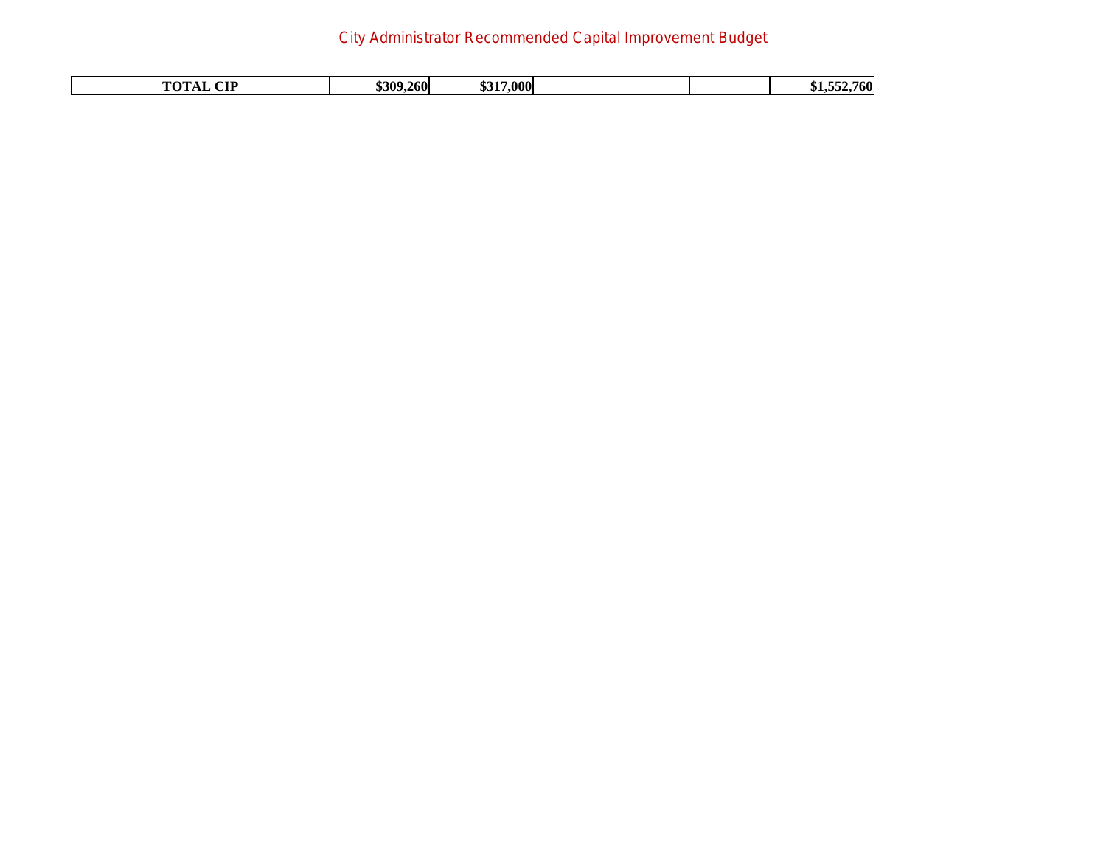# City Administrator Recommended Capital Improvement Budget

| . | $\sqrt{2}$<br>$\sim$ TT | \$309.<br>.2601 | 17,000<br>$\sim$ |  |  |  | $\mathbf{r}$<br>766 |
|---|-------------------------|-----------------|------------------|--|--|--|---------------------|
|---|-------------------------|-----------------|------------------|--|--|--|---------------------|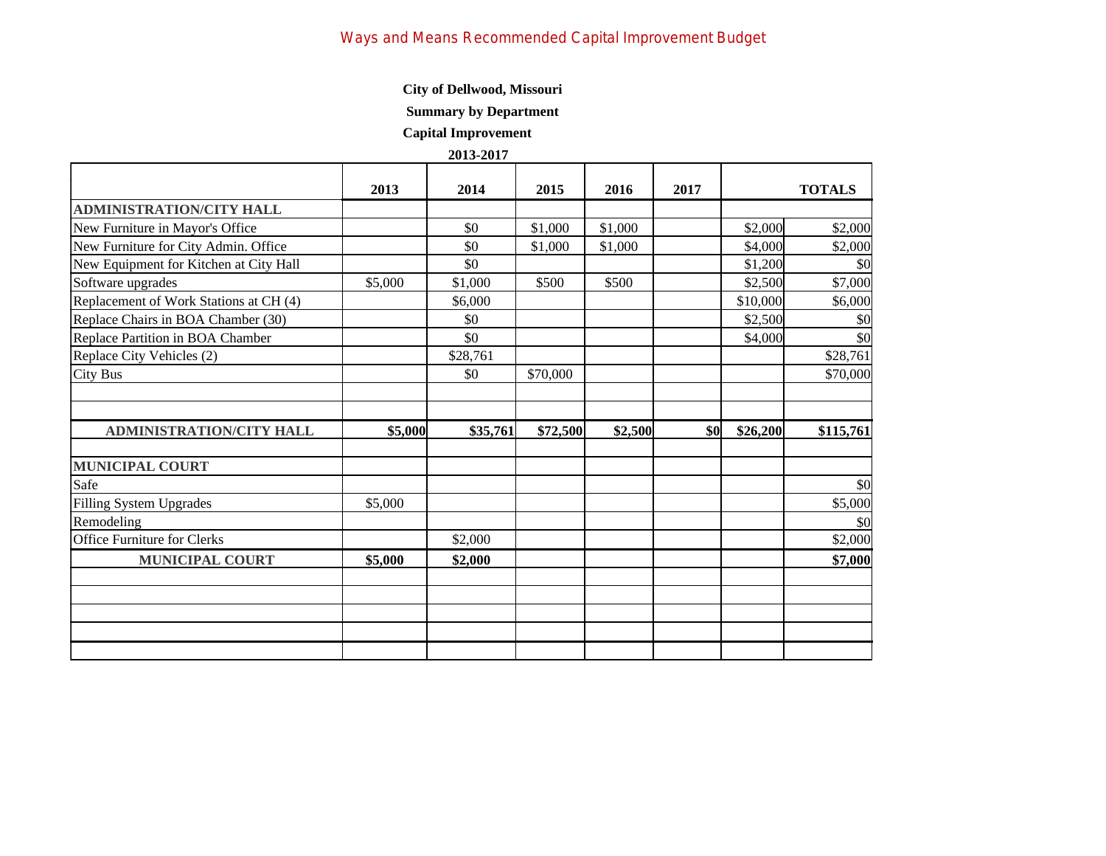### **Summary by Department**

 **Capital Improvement**

|                                        | 2013    | 2014     | 2015     | 2016    | 2017       |          | <b>TOTALS</b>              |
|----------------------------------------|---------|----------|----------|---------|------------|----------|----------------------------|
| ADMINISTRATION/CITY HALL               |         |          |          |         |            |          |                            |
| New Furniture in Mayor's Office        |         | \$0      | \$1,000  | \$1,000 |            | \$2,000  | \$2,000                    |
| New Furniture for City Admin. Office   |         | \$0      | \$1,000  | \$1,000 |            | \$4,000  | \$2,000                    |
| New Equipment for Kitchen at City Hall |         | \$0      |          |         |            | \$1,200  | $\vert \mathcal{S}0 \vert$ |
| Software upgrades                      | \$5,000 | \$1,000  | \$500    | \$500   |            | \$2,500  | \$7,000                    |
| Replacement of Work Stations at CH (4) |         | \$6,000  |          |         |            | \$10,000 | \$6,000                    |
| Replace Chairs in BOA Chamber (30)     |         | \$0      |          |         |            | \$2,500  | $\vert \mathcal{S}0 \vert$ |
| Replace Partition in BOA Chamber       |         | \$0      |          |         |            | \$4,000  | $\vert \$\text{O}\vert$    |
| Replace City Vehicles (2)              |         | \$28,761 |          |         |            |          | \$28,761                   |
| City Bus                               |         | \$0      | \$70,000 |         |            |          | \$70,000                   |
|                                        |         |          |          |         |            |          |                            |
|                                        |         |          |          |         |            |          |                            |
| <b>ADMINISTRATION/CITY HALL</b>        | \$5,000 | \$35,761 | \$72,500 | \$2,500 | <b>\$0</b> | \$26,200 | \$115,761                  |
| <b>MUNICIPAL COURT</b>                 |         |          |          |         |            |          |                            |
| Safe                                   |         |          |          |         |            |          |                            |
|                                        |         |          |          |         |            |          | $\vert \$\text{O}\vert$    |
| Filling System Upgrades                | \$5,000 |          |          |         |            |          | \$5,000                    |
| Remodeling                             |         |          |          |         |            |          | $\vert \$\text{O}\vert$    |
| Office Furniture for Clerks            |         | \$2,000  |          |         |            |          | \$2,000                    |
| <b>MUNICIPAL COURT</b>                 | \$5,000 | \$2,000  |          |         |            |          | \$7,000                    |
|                                        |         |          |          |         |            |          |                            |
|                                        |         |          |          |         |            |          |                            |
|                                        |         |          |          |         |            |          |                            |
|                                        |         |          |          |         |            |          |                            |
|                                        |         |          |          |         |            |          |                            |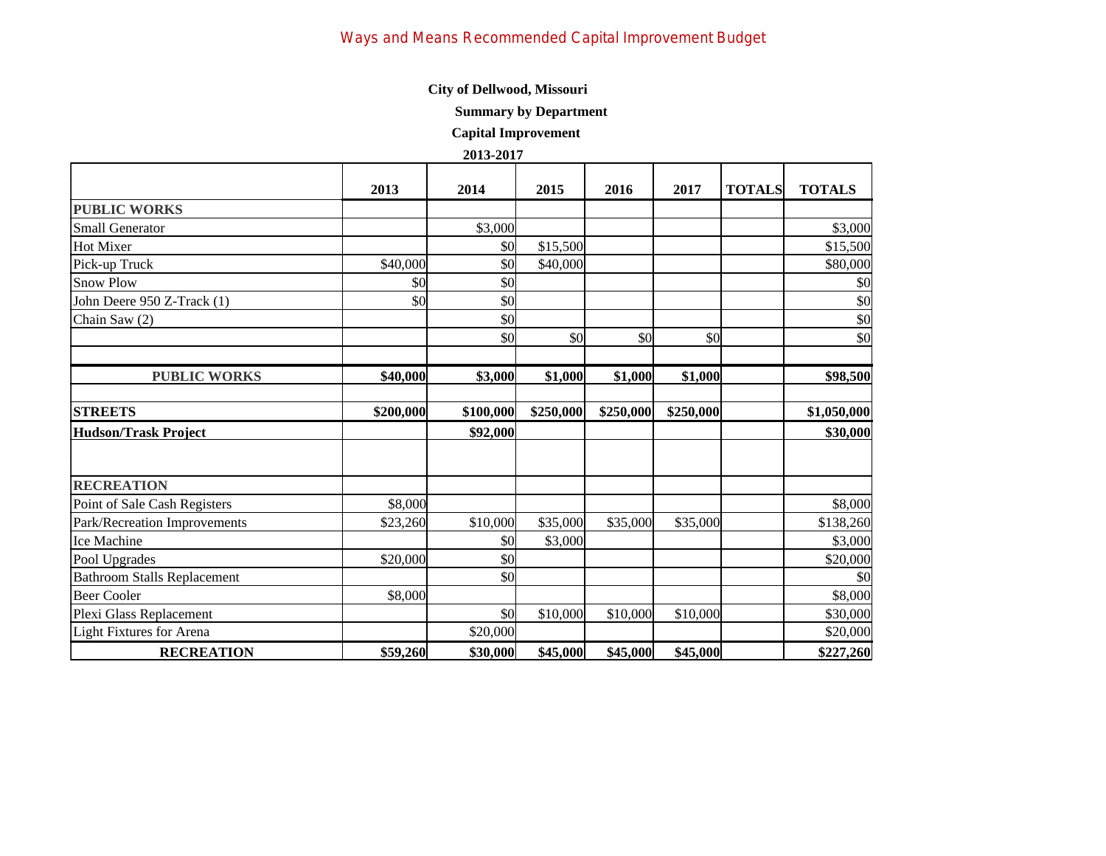**Summary by Department**

 **Capital Improvement**

|                                    | 2013      | 2014      | 2015      | 2016      | 2017      | <b>TOTALS</b> | <b>TOTALS</b> |
|------------------------------------|-----------|-----------|-----------|-----------|-----------|---------------|---------------|
| <b>PUBLIC WORKS</b>                |           |           |           |           |           |               |               |
| <b>Small Generator</b>             |           | \$3,000   |           |           |           |               | \$3,000       |
| <b>Hot Mixer</b>                   |           | \$0       | \$15,500  |           |           |               | \$15,500      |
| Pick-up Truck                      | \$40,000  | \$0       | \$40,000  |           |           |               | \$80,000      |
| <b>Snow Plow</b>                   | \$0       | \$0       |           |           |           |               | \$0           |
| John Deere 950 Z-Track (1)         | \$0       | \$0       |           |           |           |               | \$0           |
| Chain Saw (2)                      |           | \$0       |           |           |           |               | \$0           |
|                                    |           | \$0       | \$0       | \$0       | \$0       |               | \$0           |
| <b>PUBLIC WORKS</b>                | \$40,000  | \$3,000   | \$1,000   | \$1,000   | \$1,000   |               | \$98,500      |
| <b>STREETS</b>                     | \$200,000 | \$100,000 | \$250,000 | \$250,000 | \$250,000 |               | \$1,050,000   |
| <b>Hudson/Trask Project</b>        |           | \$92,000  |           |           |           |               | \$30,000      |
| <b>RECREATION</b>                  |           |           |           |           |           |               |               |
| Point of Sale Cash Registers       | \$8,000   |           |           |           |           |               | \$8,000       |
| Park/Recreation Improvements       | \$23,260  | \$10,000  | \$35,000  | \$35,000  | \$35,000  |               | \$138,260     |
| <b>Ice Machine</b>                 |           | \$0       | \$3,000   |           |           |               | \$3,000       |
| Pool Upgrades                      | \$20,000  | \$0       |           |           |           |               | \$20,000      |
| <b>Bathroom Stalls Replacement</b> |           | \$0       |           |           |           |               | \$0           |
| Beer Cooler                        | \$8,000   |           |           |           |           |               | \$8,000       |
| Plexi Glass Replacement            |           | \$0       | \$10,000  | \$10,000  | \$10,000  |               | \$30,000      |
| Light Fixtures for Arena           |           | \$20,000  |           |           |           |               | \$20,000      |
| <b>RECREATION</b>                  | \$59,260  | \$30,000  | \$45,000  | \$45,000  | \$45,000  |               | \$227,260     |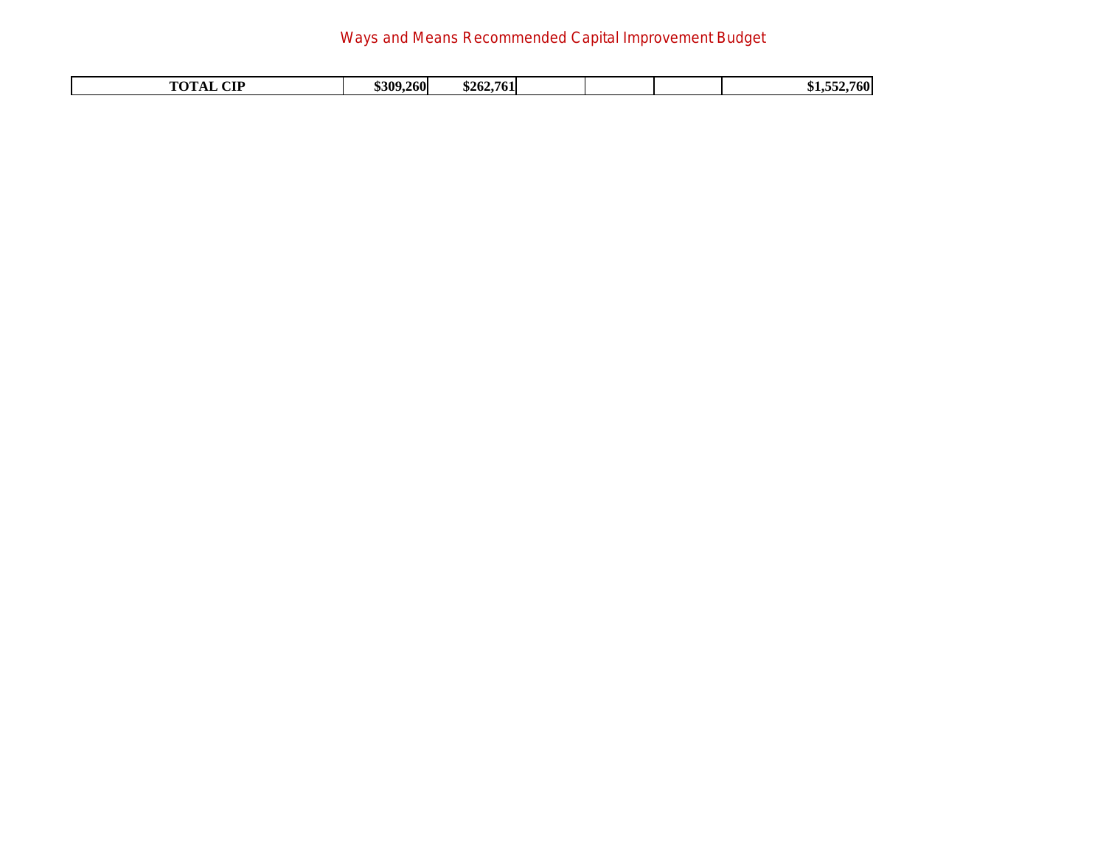# Ways and Means Recommended Capital Improvement Budget

| 761<br>.<br>u<br>$\sim$ | $\alpha$ te | .2601<br>8309. | - -<br>\$262 |  |  |  | .760<br>----<br>ጡ ። |
|-------------------------|-------------|----------------|--------------|--|--|--|---------------------|
|-------------------------|-------------|----------------|--------------|--|--|--|---------------------|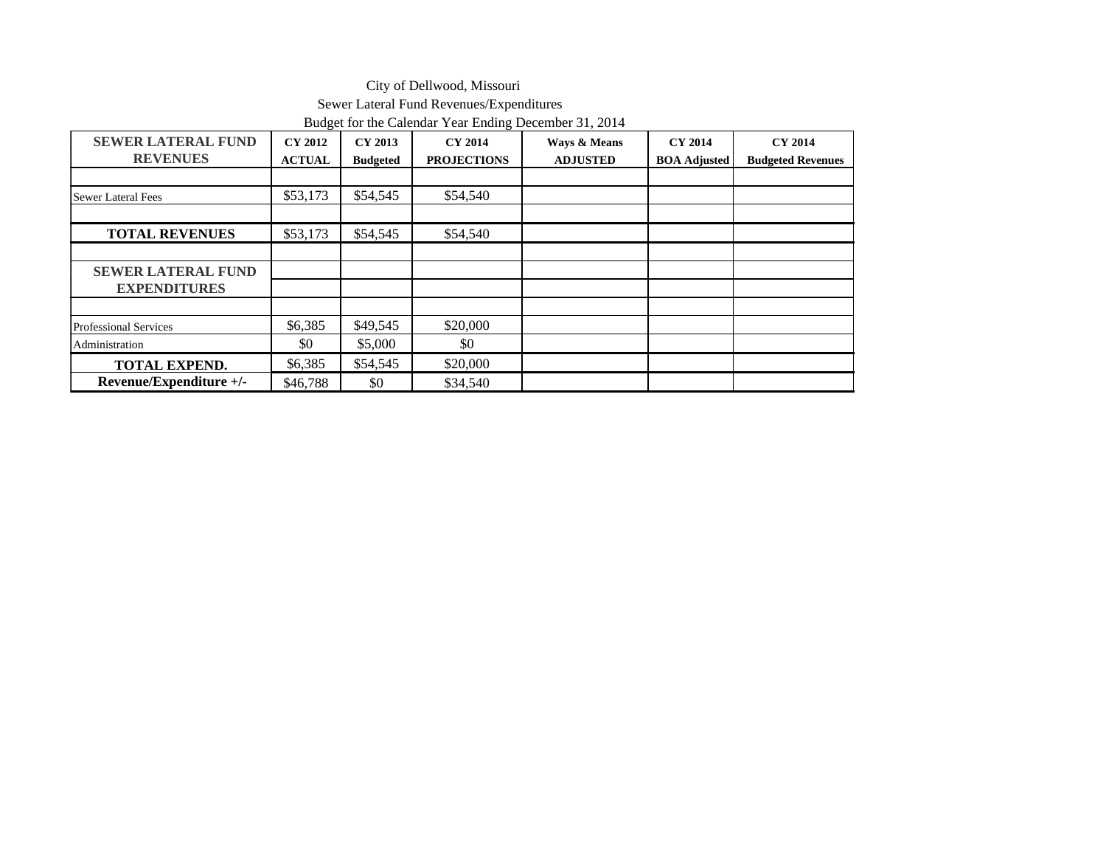### City of Dellwood, Missouri Sewer Lateral Fund Revenues/Expenditures Budget for the Calendar Year Ending December 31, 2014

|                                              | $\circ$                         |                            | $\circ$                              |                                 |                                       |                                            |
|----------------------------------------------|---------------------------------|----------------------------|--------------------------------------|---------------------------------|---------------------------------------|--------------------------------------------|
| <b>SEWER LATERAL FUND</b><br><b>REVENUES</b> | <b>CY 2012</b><br><b>ACTUAL</b> | CY 2013<br><b>Budgeted</b> | <b>CY 2014</b><br><b>PROJECTIONS</b> | Ways & Means<br><b>ADJUSTED</b> | <b>CY 2014</b><br><b>BOA Adjusted</b> | <b>CY 2014</b><br><b>Budgeted Revenues</b> |
|                                              |                                 |                            |                                      |                                 |                                       |                                            |
| Sewer Lateral Fees                           | \$53,173                        | \$54,545                   | \$54,540                             |                                 |                                       |                                            |
|                                              |                                 |                            |                                      |                                 |                                       |                                            |
| <b>TOTAL REVENUES</b>                        | \$53,173                        | \$54,545                   | \$54,540                             |                                 |                                       |                                            |
|                                              |                                 |                            |                                      |                                 |                                       |                                            |
| <b>SEWER LATERAL FUND</b>                    |                                 |                            |                                      |                                 |                                       |                                            |
| <b>EXPENDITURES</b>                          |                                 |                            |                                      |                                 |                                       |                                            |
|                                              |                                 |                            |                                      |                                 |                                       |                                            |
| Professional Services                        | \$6,385                         | \$49,545                   | \$20,000                             |                                 |                                       |                                            |
| Administration                               | \$0                             | \$5,000                    | \$0                                  |                                 |                                       |                                            |
| <b>TOTAL EXPEND.</b>                         | \$6,385                         | \$54,545                   | \$20,000                             |                                 |                                       |                                            |
| Revenue/Expenditure +/-                      | \$46,788                        | \$0                        | \$34,540                             |                                 |                                       |                                            |